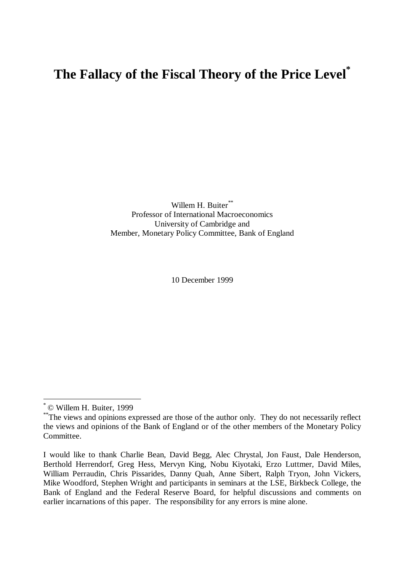# **The Fallacy of the Fiscal Theory of the Price Level\***

Willem H. Buiter\*\* Professor of International Macroeconomics University of Cambridge and Member, Monetary Policy Committee, Bank of England

10 December 1999

<sup>\*</sup> © Willem H. Buiter, 1999

<sup>\*\*</sup> The views and opinions expressed are those of the author only. They do not necessarily reflect the views and opinions of the Bank of England or of the other members of the Monetary Policy Committee.

I would like to thank Charlie Bean, David Begg, Alec Chrystal, Jon Faust, Dale Henderson, Berthold Herrendorf, Greg Hess, Mervyn King, Nobu Kiyotaki, Erzo Luttmer, David Miles, William Perraudin, Chris Pissarides, Danny Quah, Anne Sibert, Ralph Tryon, John Vickers, Mike Woodford, Stephen Wright and participants in seminars at the LSE, Birkbeck College, the Bank of England and the Federal Reserve Board, for helpful discussions and comments on earlier incarnations of this paper. The responsibility for any errors is mine alone.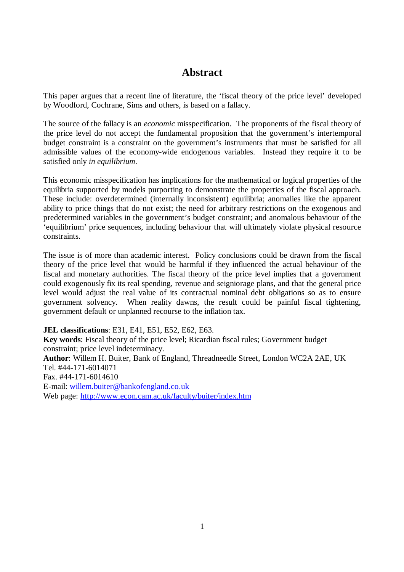# **Abstract**

This paper argues that a recent line of literature, the 'fiscal theory of the price level' developed by Woodford, Cochrane, Sims and others, is based on a fallacy.

The source of the fallacy is an *economic* misspecification. The proponents of the fiscal theory of the price level do not accept the fundamental proposition that the government's intertemporal budget constraint is a constraint on the government's instruments that must be satisfied for all admissible values of the economy-wide endogenous variables. Instead they require it to be satisfied only *in equilibrium*.

This economic misspecification has implications for the mathematical or logical properties of the equilibria supported by models purporting to demonstrate the properties of the fiscal approach. These include: overdetermined (internally inconsistent) equilibria; anomalies like the apparent ability to price things that do not exist; the need for arbitrary restrictions on the exogenous and predetermined variables in the government's budget constraint; and anomalous behaviour of the 'equilibrium' price sequences, including behaviour that will ultimately violate physical resource constraints.

The issue is of more than academic interest. Policy conclusions could be drawn from the fiscal theory of the price level that would be harmful if they influenced the actual behaviour of the fiscal and monetary authorities. The fiscal theory of the price level implies that a government could exogenously fix its real spending, revenue and seigniorage plans, and that the general price level would adjust the real value of its contractual nominal debt obligations so as to ensure government solvency. When reality dawns, the result could be painful fiscal tightening, government default or unplanned recourse to the inflation tax.

**JEL classifications**: E31, E41, E51, E52, E62, E63.

**Key words**: Fiscal theory of the price level; Ricardian fiscal rules; Government budget constraint; price level indeterminacy. **Author**: Willem H. Buiter, Bank of England, Threadneedle Street, London WC2A 2AE, UK Tel. #44-171-6014071 Fax. #44-171-6014610

E-mail: willem.buiter@bankofengland.co.uk

Web page: http://www.econ.cam.ac.uk/faculty/buiter/index.htm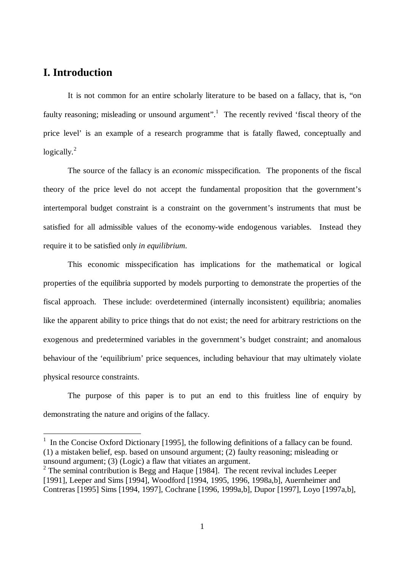# **I. Introduction**

 $\overline{a}$ 

It is not common for an entire scholarly literature to be based on a fallacy, that is, "on faulty reasoning; misleading or unsound argument".<sup>1</sup> The recently revived 'fiscal theory of the price level' is an example of a research programme that is fatally flawed, conceptually and logically. $^{2}$ 

The source of the fallacy is an *economic* misspecification. The proponents of the fiscal theory of the price level do not accept the fundamental proposition that the government's intertemporal budget constraint is a constraint on the government's instruments that must be satisfied for all admissible values of the economy-wide endogenous variables. Instead they require it to be satisfied only *in equilibrium*.

This economic misspecification has implications for the mathematical or logical properties of the equilibria supported by models purporting to demonstrate the properties of the fiscal approach. These include: overdetermined (internally inconsistent) equilibria; anomalies like the apparent ability to price things that do not exist; the need for arbitrary restrictions on the exogenous and predetermined variables in the government's budget constraint; and anomalous behaviour of the 'equilibrium' price sequences, including behaviour that may ultimately violate physical resource constraints.

The purpose of this paper is to put an end to this fruitless line of enquiry by demonstrating the nature and origins of the fallacy.

<sup>&</sup>lt;sup>1</sup> In the Concise Oxford Dictionary [1995], the following definitions of a fallacy can be found. (1) a mistaken belief, esp. based on unsound argument; (2) faulty reasoning; misleading or unsound argument; (3) (Logic) a flaw that vitiates an argument.

 $2$  The seminal contribution is Begg and Haque [1984]. The recent revival includes Leeper [1991], Leeper and Sims [1994], Woodford [1994, 1995, 1996, 1998a,b], Auernheimer and Contreras [1995] Sims [1994, 1997], Cochrane [1996, 1999a,b], Dupor [1997], Loyo [1997a,b],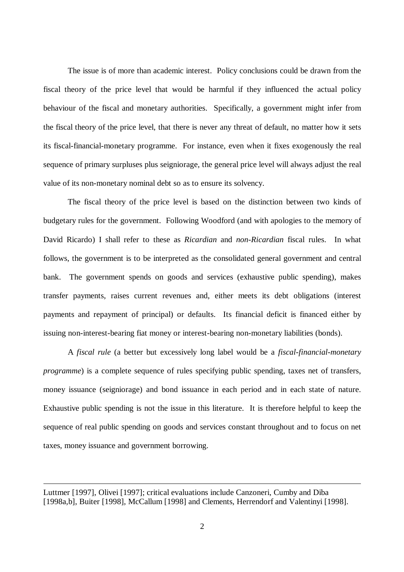The issue is of more than academic interest. Policy conclusions could be drawn from the fiscal theory of the price level that would be harmful if they influenced the actual policy behaviour of the fiscal and monetary authorities. Specifically, a government might infer from the fiscal theory of the price level, that there is never any threat of default, no matter how it sets its fiscal-financial-monetary programme. For instance, even when it fixes exogenously the real sequence of primary surpluses plus seigniorage, the general price level will always adjust the real value of its non-monetary nominal debt so as to ensure its solvency.

The fiscal theory of the price level is based on the distinction between two kinds of budgetary rules for the government. Following Woodford (and with apologies to the memory of David Ricardo) I shall refer to these as *Ricardian* and *non-Ricardian* fiscal rules. In what follows, the government is to be interpreted as the consolidated general government and central bank. The government spends on goods and services (exhaustive public spending), makes transfer payments, raises current revenues and, either meets its debt obligations (interest payments and repayment of principal) or defaults. Its financial deficit is financed either by issuing non-interest-bearing fiat money or interest-bearing non-monetary liabilities (bonds).

A *fiscal rule* (a better but excessively long label would be a *fiscal-financial-monetary programme*) is a complete sequence of rules specifying public spending, taxes net of transfers, money issuance (seigniorage) and bond issuance in each period and in each state of nature. Exhaustive public spending is not the issue in this literature. It is therefore helpful to keep the sequence of real public spending on goods and services constant throughout and to focus on net taxes, money issuance and government borrowing.

Luttmer [1997], Olivei [1997]; critical evaluations include Canzoneri, Cumby and Diba [1998a,b], Buiter [1998], McCallum [1998] and Clements, Herrendorf and Valentinyi [1998].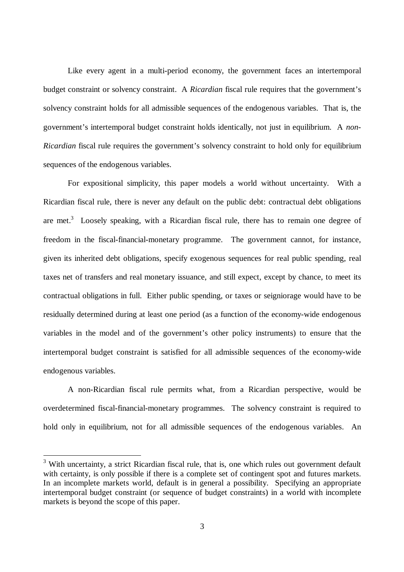Like every agent in a multi-period economy, the government faces an intertemporal budget constraint or solvency constraint. A *Ricardian* fiscal rule requires that the government's solvency constraint holds for all admissible sequences of the endogenous variables. That is, the government's intertemporal budget constraint holds identically, not just in equilibrium. A *non-Ricardian* fiscal rule requires the government's solvency constraint to hold only for equilibrium sequences of the endogenous variables.

For expositional simplicity, this paper models a world without uncertainty. With a Ricardian fiscal rule, there is never any default on the public debt: contractual debt obligations are met.<sup>3</sup> Loosely speaking, with a Ricardian fiscal rule, there has to remain one degree of freedom in the fiscal-financial-monetary programme. The government cannot, for instance, given its inherited debt obligations, specify exogenous sequences for real public spending, real taxes net of transfers and real monetary issuance, and still expect, except by chance, to meet its contractual obligations in full. Either public spending, or taxes or seigniorage would have to be residually determined during at least one period (as a function of the economy-wide endogenous variables in the model and of the government's other policy instruments) to ensure that the intertemporal budget constraint is satisfied for all admissible sequences of the economy-wide endogenous variables.

A non-Ricardian fiscal rule permits what, from a Ricardian perspective, would be overdetermined fiscal-financial-monetary programmes. The solvency constraint is required to hold only in equilibrium, not for all admissible sequences of the endogenous variables. An

<sup>&</sup>lt;sup>3</sup> With uncertainty, a strict Ricardian fiscal rule, that is, one which rules out government default with certainty, is only possible if there is a complete set of contingent spot and futures markets. In an incomplete markets world, default is in general a possibility. Specifying an appropriate intertemporal budget constraint (or sequence of budget constraints) in a world with incomplete markets is beyond the scope of this paper.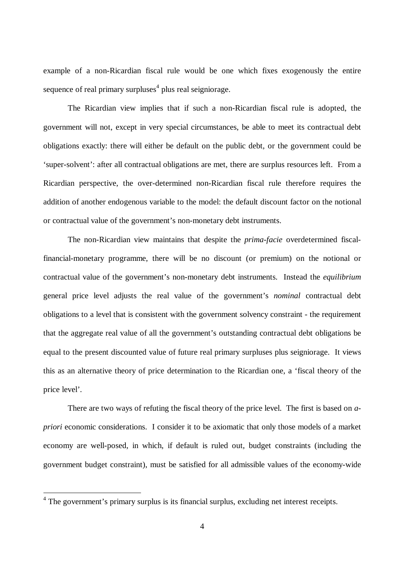example of a non-Ricardian fiscal rule would be one which fixes exogenously the entire sequence of real primary surpluses<sup>4</sup> plus real seigniorage.

The Ricardian view implies that if such a non-Ricardian fiscal rule is adopted, the government will not, except in very special circumstances, be able to meet its contractual debt obligations exactly: there will either be default on the public debt, or the government could be 'super-solvent': after all contractual obligations are met, there are surplus resources left. From a Ricardian perspective, the over-determined non-Ricardian fiscal rule therefore requires the addition of another endogenous variable to the model: the default discount factor on the notional or contractual value of the government's non-monetary debt instruments.

The non-Ricardian view maintains that despite the *prima-facie* overdetermined fiscalfinancial-monetary programme, there will be no discount (or premium) on the notional or contractual value of the government's non-monetary debt instruments. Instead the *equilibrium* general price level adjusts the real value of the government's *nominal* contractual debt obligations to a level that is consistent with the government solvency constraint - the requirement that the aggregate real value of all the government's outstanding contractual debt obligations be equal to the present discounted value of future real primary surpluses plus seigniorage. It views this as an alternative theory of price determination to the Ricardian one, a 'fiscal theory of the price level'.

There are two ways of refuting the fiscal theory of the price level. The first is based on *apriori* economic considerations. I consider it to be axiomatic that only those models of a market economy are well-posed, in which, if default is ruled out, budget constraints (including the government budget constraint), must be satisfied for all admissible values of the economy-wide

<sup>&</sup>lt;sup>4</sup> The government's primary surplus is its financial surplus, excluding net interest receipts.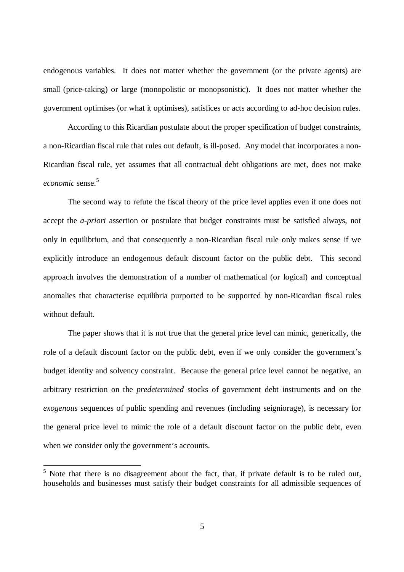endogenous variables. It does not matter whether the government (or the private agents) are small (price-taking) or large (monopolistic or monopsonistic). It does not matter whether the government optimises (or what it optimises), satisfices or acts according to ad-hoc decision rules.

According to this Ricardian postulate about the proper specification of budget constraints, a non-Ricardian fiscal rule that rules out default, is ill-posed. Any model that incorporates a non-Ricardian fiscal rule, yet assumes that all contractual debt obligations are met, does not make *economic* sense.<sup>5</sup>

The second way to refute the fiscal theory of the price level applies even if one does not accept the *a-priori* assertion or postulate that budget constraints must be satisfied always, not only in equilibrium, and that consequently a non-Ricardian fiscal rule only makes sense if we explicitly introduce an endogenous default discount factor on the public debt. This second approach involves the demonstration of a number of mathematical (or logical) and conceptual anomalies that characterise equilibria purported to be supported by non-Ricardian fiscal rules without default.

The paper shows that it is not true that the general price level can mimic, generically, the role of a default discount factor on the public debt, even if we only consider the government's budget identity and solvency constraint. Because the general price level cannot be negative, an arbitrary restriction on the *predetermined* stocks of government debt instruments and on the *exogenous* sequences of public spending and revenues (including seigniorage), is necessary for the general price level to mimic the role of a default discount factor on the public debt, even when we consider only the government's accounts.

<sup>&</sup>lt;sup>5</sup> Note that there is no disagreement about the fact, that, if private default is to be ruled out, households and businesses must satisfy their budget constraints for all admissible sequences of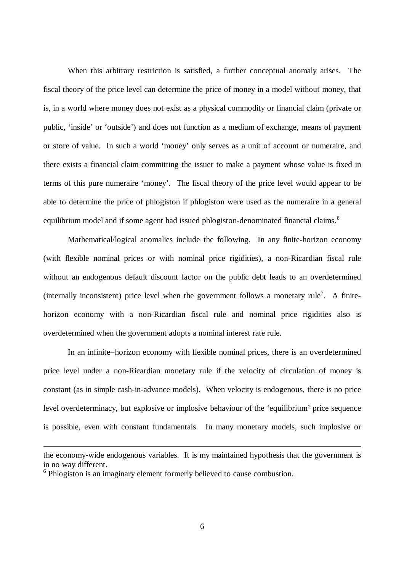When this arbitrary restriction is satisfied, a further conceptual anomaly arises. The fiscal theory of the price level can determine the price of money in a model without money, that is, in a world where money does not exist as a physical commodity or financial claim (private or public, 'inside' or 'outside') and does not function as a medium of exchange, means of payment or store of value. In such a world 'money' only serves as a unit of account or numeraire, and there exists a financial claim committing the issuer to make a payment whose value is fixed in terms of this pure numeraire 'money'. The fiscal theory of the price level would appear to be able to determine the price of phlogiston if phlogiston were used as the numeraire in a general equilibrium model and if some agent had issued phlogiston-denominated financial claims.<sup>6</sup>

Mathematical/logical anomalies include the following. In any finite-horizon economy (with flexible nominal prices or with nominal price rigidities), a non-Ricardian fiscal rule without an endogenous default discount factor on the public debt leads to an overdetermined (internally inconsistent) price level when the government follows a monetary rule<sup>7</sup>. A finitehorizon economy with a non-Ricardian fiscal rule and nominal price rigidities also is overdetermined when the government adopts a nominal interest rate rule.

In an infinite–horizon economy with flexible nominal prices, there is an overdetermined price level under a non-Ricardian monetary rule if the velocity of circulation of money is constant (as in simple cash-in-advance models). When velocity is endogenous, there is no price level overdeterminacy, but explosive or implosive behaviour of the 'equilibrium' price sequence is possible, even with constant fundamentals. In many monetary models, such implosive or

the economy-wide endogenous variables. It is my maintained hypothesis that the government is in no way different.

<sup>&</sup>lt;sup>6</sup> Phlogiston is an imaginary element formerly believed to cause combustion.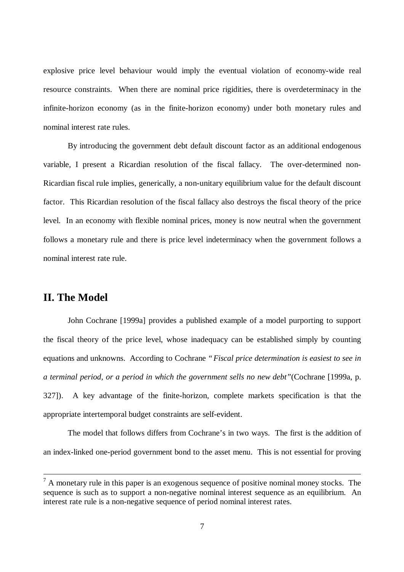explosive price level behaviour would imply the eventual violation of economy-wide real resource constraints. When there are nominal price rigidities, there is overdeterminacy in the infinite-horizon economy (as in the finite-horizon economy) under both monetary rules and nominal interest rate rules.

By introducing the government debt default discount factor as an additional endogenous variable, I present a Ricardian resolution of the fiscal fallacy. The over-determined non-Ricardian fiscal rule implies, generically, a non-unitary equilibrium value for the default discount factor. This Ricardian resolution of the fiscal fallacy also destroys the fiscal theory of the price level. In an economy with flexible nominal prices, money is now neutral when the government follows a monetary rule and there is price level indeterminacy when the government follows a nominal interest rate rule.

## **II. The Model**

John Cochrane [1999a] provides a published example of a model purporting to support the fiscal theory of the price level, whose inadequacy can be established simply by counting equations and unknowns. According to Cochrane *"Fiscal price determination is easiest to see in a terminal period, or a period in which the government sells no new debt"*(Cochrane [1999a, p. 327]). A key advantage of the finite-horizon, complete markets specification is that the appropriate intertemporal budget constraints are self-evident.

The model that follows differs from Cochrane's in two ways. The first is the addition of an index-linked one-period government bond to the asset menu. This is not essential for proving

 $<sup>7</sup>$  A monetary rule in this paper is an exogenous sequence of positive nominal money stocks. The</sup> sequence is such as to support a non-negative nominal interest sequence as an equilibrium. An interest rate rule is a non-negative sequence of period nominal interest rates.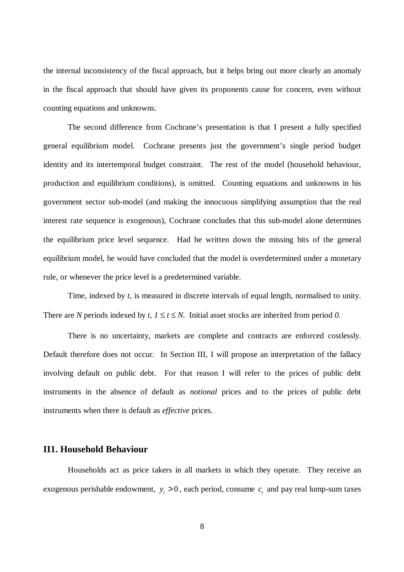the internal inconsistency of the fiscal approach, but it helps bring out more clearly an anomaly in the fiscal approach that should have given its proponents cause for concern, even without counting equations and unknowns.

The second difference from Cochrane's presentation is that I present a fully specified general equilibrium model. Cochrane presents just the government's single period budget identity and its intertemporal budget constraint. The rest of the model (household behaviour, production and equilibrium conditions), is omitted. Counting equations and unknowns in his government sector sub-model (and making the innocuous simplifying assumption that the real interest rate sequence is exogenous), Cochrane concludes that this sub-model alone determines the equilibrium price level sequence. Had he written down the missing bits of the general equilibrium model, he would have concluded that the model is overdetermined under a monetary rule, or whenever the price level is a predetermined variable.

Time, indexed by *t*, is measured in discrete intervals of equal length, normalised to unity. There are *N* periods indexed by *t*,  $1 \le t \le N$ . Initial asset stocks are inherited from period *0*.

There is no uncertainty, markets are complete and contracts are enforced costlessly. Default therefore does not occur. In Section III, I will propose an interpretation of the fallacy involving default on public debt. For that reason I will refer to the prices of public debt instruments in the absence of default as *notional* prices and to the prices of public debt instruments when there is default as *effective* prices.

#### **II1. Household Behaviour**

Households act as price takers in all markets in which they operate. They receive an exogenous perishable endowment,  $y_t > 0$ , each period, consume  $c_t$  and pay real lump-sum taxes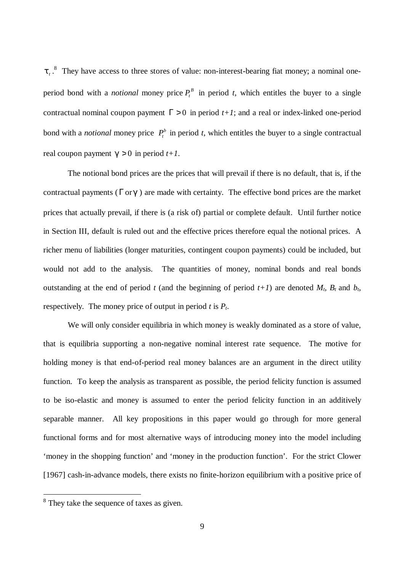$t_i$ <sup>8</sup>. They have access to three stores of value: non-interest-bearing fiat money; a nominal oneperiod bond with a *notional* money price  $P_t^B$  in period *t*, which entitles the buyer to a single contractual nominal coupon payment  $\Gamma > 0$  in period  $t+1$ ; and a real or index-linked one-period bond with a *notional* money price  $P_t^b$  in period *t*, which entitles the buyer to a single contractual real coupon payment  $\boldsymbol{\epsilon} > 0$  in period  $t+1$ .

The notional bond prices are the prices that will prevail if there is no default, that is, if the contractual payments (Γor*g*) are made with certainty. The effective bond prices are the market prices that actually prevail, if there is (a risk of) partial or complete default. Until further notice in Section III, default is ruled out and the effective prices therefore equal the notional prices. A richer menu of liabilities (longer maturities, contingent coupon payments) could be included, but would not add to the analysis. The quantities of money, nominal bonds and real bonds outstanding at the end of period *t* (and the beginning of period  $t+1$ ) are denoted  $M_t$ ,  $B_t$  and  $b_t$ , respectively. The money price of output in period *t* is *Pt*.

We will only consider equilibria in which money is weakly dominated as a store of value, that is equilibria supporting a non-negative nominal interest rate sequence. The motive for holding money is that end-of-period real money balances are an argument in the direct utility function. To keep the analysis as transparent as possible, the period felicity function is assumed to be iso-elastic and money is assumed to enter the period felicity function in an additively separable manner. All key propositions in this paper would go through for more general functional forms and for most alternative ways of introducing money into the model including 'money in the shopping function' and 'money in the production function'. For the strict Clower [1967] cash-in-advance models, there exists no finite-horizon equilibrium with a positive price of

<sup>&</sup>lt;sup>8</sup> They take the sequence of taxes as given.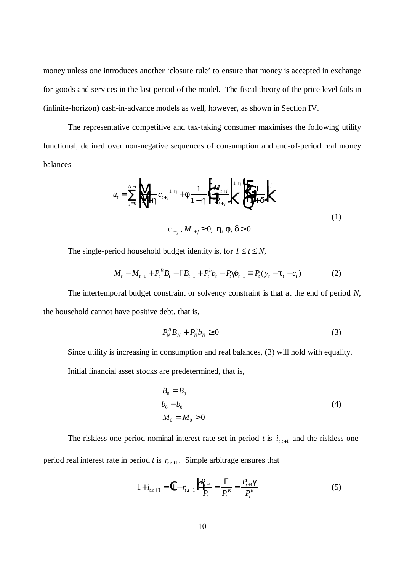money unless one introduces another 'closure rule' to ensure that money is accepted in exchange for goods and services in the last period of the model. The fiscal theory of the price level fails in (infinite-horizon) cash-in-advance models as well, however, as shown in Section IV.

The representative competitive and tax-taking consumer maximises the following utility functional, defined over non-negative sequences of consumption and end-of-period real money balances

$$
u_{t} = \sum_{j=0}^{N-t} \left\| \left\| \frac{1}{1-h} c_{t+j} \right\|^{1-h} + f \frac{1}{1-h} \left\| \left\| \frac{M_{t+j}}{P_{t+j}} \right\|^{1-h} \right\|^{1-h} \left\| \left\| \frac{1}{1+ch} \right\|^{j}
$$
\n
$$
c_{t+j}, M_{t+j} \ge 0; \mathbf{h}, \mathbf{f}, \mathbf{d} > 0
$$
\n
$$
(1)
$$

The single-period household budget identity is, for  $1 \le t \le N$ ,

$$
M_t - M_{t-1} + P_t^B B_t - \Gamma B_{t-1} + P_t^b b_t - P_t \mathbf{g}_{t-1} \equiv P_t (y_t - \mathbf{t}_t - c_t)
$$
(2)

The intertemporal budget constraint or solvency constraint is that at the end of period *N*, the household cannot have positive debt, that is,

$$
P_N^B B_N + P_N^b b_N \ge 0 \tag{3}
$$

Since utility is increasing in consumption and real balances, (3) will hold with equality. Initial financial asset stocks are predetermined, that is,

$$
B_0 = \overline{B}_0
$$
  
\n
$$
b_0 = \overline{b}_0
$$
  
\n
$$
M_0 = \overline{M}_0 > 0
$$
\n(4)

The riskless one-period nominal interest rate set in period *t* is  $i_{t,t+1}$  and the riskless oneperiod real interest rate in period *t* is  $r_{t,t+1}$ . Simple arbitrage ensures that

$$
1 + i_{t,t+1} = \left(1 + r_{t,t+1}\right) \frac{P_{t+1}}{P_t} = \frac{\Gamma}{P_t^B} = \frac{P_{t+1} \mathcal{E}}{P_t^b}
$$
(5)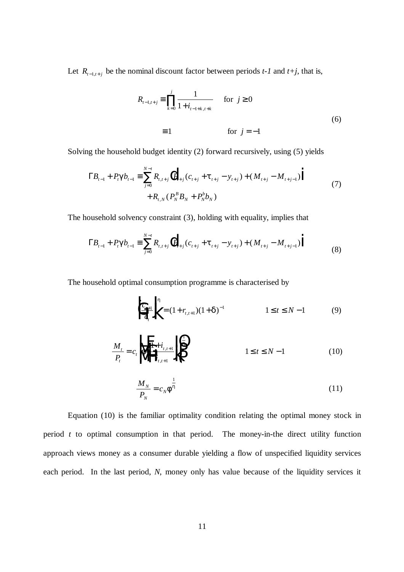Let  $R_{t-1,t+j}$  be the nominal discount factor between periods  $t-1$  and  $t+j$ , that is,

$$
R_{t-1,t+j} = \prod_{k=0}^{j} \frac{1}{1 + i_{t-1+k,t+k}}
$$
 for  $j \ge 0$   

$$
\equiv 1
$$
 for  $j = -1$  (6)

Solving the household budget identity (2) forward recursively, using (5) yields

$$
\Gamma B_{t-1} + P_t \mathbf{g} b_{t-1} \equiv \sum_{j=0}^{N-t} R_{t,t+j} \left( P_{t+j} (c_{t+j} + \mathbf{t}_{t+j} - y_{t+j}) + (M_{t+j} - M_{t+j-1}) \right) + R_{t,N} (P_N^B B_N + P_N^b b_N)
$$
\n
$$
(7)
$$

The household solvency constraint (3), holding with equality, implies that

$$
\Gamma B_{t-1} + P_t \mathbf{g} b_{t-1} \equiv \sum_{j=0}^{N-t} R_{t,t+j} \Big( P_{t+j} (c_{t+j} + \mathbf{t}_{t+j} - y_{t+j}) + (M_{t+j} - M_{t+j-1}) \Big)
$$
(8)

The household optimal consumption programme is characterised by

$$
\left| \int_{C_t}^{C_{t+1}} \int_{C_t}^{h} = (1 + r_{t,t+1})(1 + \mathbf{d})^{-1} \qquad 1 \le t \le N - 1 \qquad (9)
$$

$$
\frac{M_t}{P_t} = c_t \sqrt{\frac{1 + i_{t,t+1}}{i_{t,t+1}}} \sqrt{\frac{1}{n}} \qquad 1 \le t \le N - 1 \tag{10}
$$

$$
\frac{M_N}{P_N} = c_N \mathbf{f}^{\frac{1}{h}}
$$
\n(11)

Equation (10) is the familiar optimality condition relating the optimal money stock in period *t* to optimal consumption in that period. The money-in-the direct utility function approach views money as a consumer durable yielding a flow of unspecified liquidity services each period. In the last period, *N*, money only has value because of the liquidity services it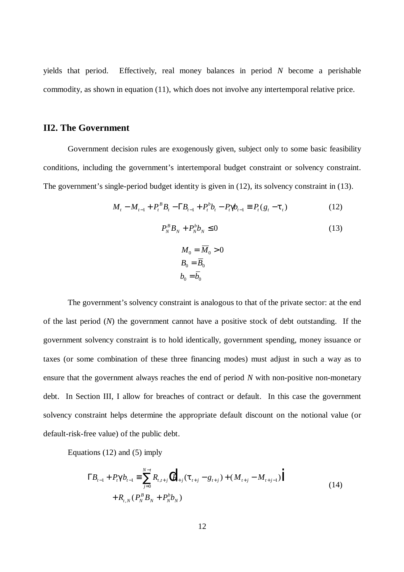yields that period. Effectively, real money balances in period *N* become a perishable commodity*,* as shown in equation (11), which does not involve any intertemporal relative price.

### **II2. The Government**

Government decision rules are exogenously given, subject only to some basic feasibility conditions, including the government's intertemporal budget constraint or solvency constraint. The government's single-period budget identity is given in (12), its solvency constraint in (13).

$$
M_t - M_{t-1} + P_t^B B_t - \Gamma B_{t-1} + P_t^b b_t - P_t \mathbf{g}_{t-1} \equiv P_t (g_t - \mathbf{t}_t)
$$
(12)

$$
P_N^B B_N + P_N^b b_N \le 0 \tag{13}
$$

$$
M_0 = \overline{M}_0 > 0
$$
  

$$
B_0 = \overline{B}_0
$$
  

$$
b_0 = \overline{b}_0
$$

The government's solvency constraint is analogous to that of the private sector: at the end of the last period (*N*) the government cannot have a positive stock of debt outstanding. If the government solvency constraint is to hold identically, government spending, money issuance or taxes (or some combination of these three financing modes) must adjust in such a way as to ensure that the government always reaches the end of period *N* with non-positive non-monetary debt. In Section III, I allow for breaches of contract or default. In this case the government solvency constraint helps determine the appropriate default discount on the notional value (or default-risk-free value) of the public debt.

Equations (12) and (5) imply

$$
\Gamma B_{t-1} + P_t \mathbf{g} b_{t-1} \equiv \sum_{j=0}^{N-t} R_{t,t+j} (P_{t+j} (\mathbf{t}_{t+j} - g_{t+j}) + (M_{t+j} - M_{t+j-1}))
$$
  
+  $R_{t,N} (P_N^B B_N + P_N^b b_N)$  (14)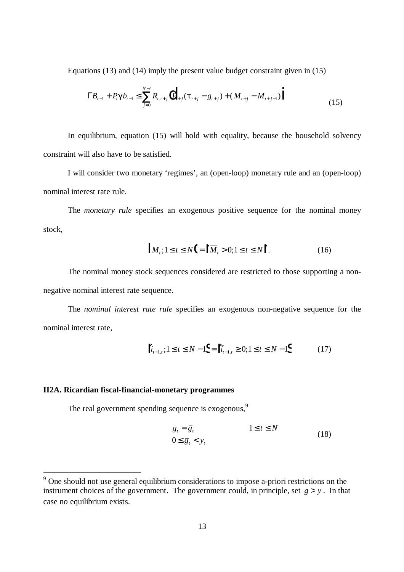Equations (13) and (14) imply the present value budget constraint given in (15)

$$
\Gamma B_{t-1} + P_t \mathbf{g} b_{t-1} \le \sum_{j=0}^{N-t} R_{t,t+j} \left( P_{t+j} (\mathbf{t}_{t+j} - g_{t+j}) + (M_{t+j} - M_{t+j-1}) \right)
$$
(15)

In equilibrium, equation (15) will hold with equality, because the household solvency constraint will also have to be satisfied.

I will consider two monetary 'regimes', an (open-loop) monetary rule and an (open-loop) nominal interest rate rule.

The *monetary rule* specifies an exogenous positive sequence for the nominal money stock,

$$
|M_t; 1 \le t \le N \Big| = \Big| |\overline{M}_t > 0; 1 \le t \le N \Big| \ . \tag{16}
$$

The nominal money stock sequences considered are restricted to those supporting a nonnegative nominal interest rate sequence.

The *nominal interest rate rule* specifies an exogenous non-negative sequence for the nominal interest rate,

$$
\left\| i_{t-1,t}; 1 \le t \le N-1 \right\} = \left\| \bar{i}_{t-1,t} \ge 0; 1 \le t \le N-1 \right\} \tag{17}
$$

#### **II2A. Ricardian fiscal-financial-monetary programmes**

The real government spending sequence is exogenous.<sup>9</sup>

$$
g_t = \overline{g}_t
$$
  
\n
$$
0 \le \overline{g}_t < y_t
$$
  
\n
$$
(18)
$$

<sup>&</sup>lt;sup>9</sup> One should not use general equilibrium considerations to impose a-priori restrictions on the instrument choices of the government. The government could, in principle, set  $g > y$ . In that case no equilibrium exists.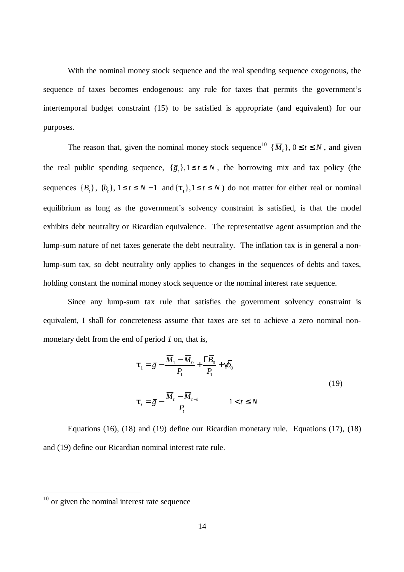With the nominal money stock sequence and the real spending sequence exogenous, the sequence of taxes becomes endogenous: any rule for taxes that permits the government's intertemporal budget constraint (15) to be satisfied is appropriate (and equivalent) for our purposes.

The reason that, given the nominal money stock sequence<sup>10</sup>  $\{\overline{M}_t\}$ ,  $0 \le t \le N$ , and given the real public spending sequence,  $\{\overline{g}_t\}$ ,  $1 \le t \le N$ , the borrowing mix and tax policy (the sequences  ${B_t}$ ,  ${b_t}$ ,  ${1 \le t \le N-1}$  and  ${\{t_t\}}$ ,  ${1 \le t \le N}$  do not matter for either real or nominal equilibrium as long as the government's solvency constraint is satisfied, is that the model exhibits debt neutrality or Ricardian equivalence. The representative agent assumption and the lump-sum nature of net taxes generate the debt neutrality. The inflation tax is in general a nonlump-sum tax, so debt neutrality only applies to changes in the sequences of debts and taxes, holding constant the nominal money stock sequence or the nominal interest rate sequence.

Since any lump-sum tax rule that satisfies the government solvency constraint is equivalent, I shall for concreteness assume that taxes are set to achieve a zero nominal nonmonetary debt from the end of period *1* on, that is,

$$
\mathbf{t}_{1} = \overline{g} - \frac{\overline{M}_{1} - \overline{M}_{0}}{P_{1}} + \frac{\Gamma \overline{B}_{0}}{P_{1}} + \mathbf{g} \overline{b}_{0}
$$
\n
$$
\mathbf{t}_{t} = \overline{g} - \frac{\overline{M}_{t} - \overline{M}_{t-1}}{P_{t}} \qquad 1 < t \leq N
$$
\n(19)

Equations (16), (18) and (19) define our Ricardian monetary rule. Equations (17), (18) and (19) define our Ricardian nominal interest rate rule.

 $10$  or given the nominal interest rate sequence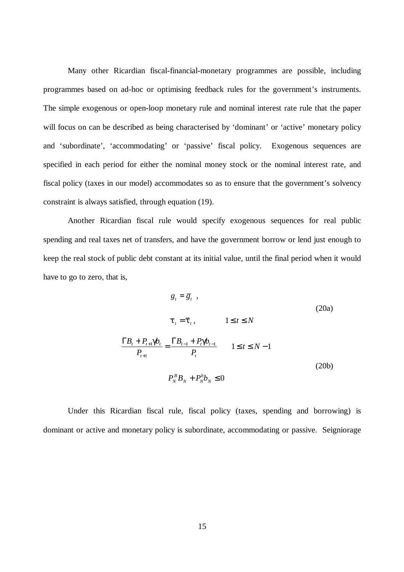Many other Ricardian fiscal-financial-monetary programmes are possible, including programmes based on ad-hoc or optimising feedback rules for the government's instruments. The simple exogenous or open-loop monetary rule and nominal interest rate rule that the paper will focus on can be described as being characterised by 'dominant' or 'active' monetary policy and 'subordinate', 'accommodating' or 'passive' fiscal policy. Exogenous sequences are specified in each period for either the nominal money stock or the nominal interest rate, and fiscal policy (taxes in our model) accommodates so as to ensure that the government's solvency constraint is always satisfied, through equation (19).

Another Ricardian fiscal rule would specify exogenous sequences for real public spending and real taxes net of transfers, and have the government borrow or lend just enough to keep the real stock of public debt constant at its initial value, until the final period when it would have to go to zero, that is,

$$
g_{t} = \overline{g}_{t},
$$
\n
$$
t_{t} = \overline{t}_{t},
$$
\n
$$
1 \leq t \leq N
$$
\n
$$
\frac{\Gamma B_{t} + P_{t+1} \underline{\boldsymbol{\phi}}_{t}}{P_{t+1}} = \frac{\Gamma B_{t-1} + P_{t} \underline{\boldsymbol{\phi}}_{t-1}}{P_{t}}
$$
\n
$$
1 \leq t \leq N - 1
$$
\n
$$
P_{N}^{B} B_{N} + P_{N}^{b} b_{N} \leq 0
$$
\n(20b)

Under this Ricardian fiscal rule, fiscal policy (taxes, spending and borrowing) is dominant or active and monetary policy is subordinate, accommodating or passive. Seigniorage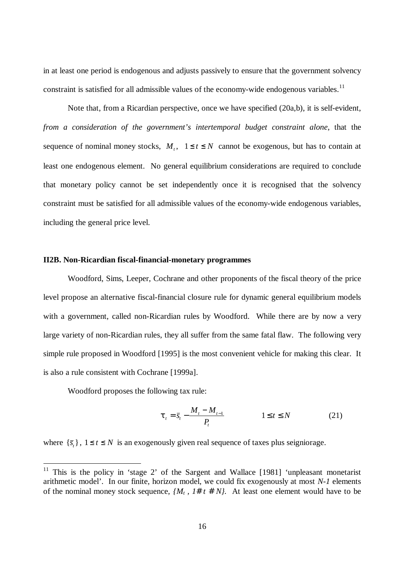in at least one period is endogenous and adjusts passively to ensure that the government solvency constraint is satisfied for all admissible values of the economy-wide endogenous variables.<sup>11</sup>

Note that, from a Ricardian perspective, once we have specified (20a,b), it is self-evident, *from a consideration of the government's intertemporal budget constraint alone*, that the sequence of nominal money stocks,  $M_t$ ,  $1 \le t \le N$  cannot be exogenous, but has to contain at least one endogenous element. No general equilibrium considerations are required to conclude that monetary policy cannot be set independently once it is recognised that the solvency constraint must be satisfied for all admissible values of the economy-wide endogenous variables, including the general price level.

#### **II2B. Non-Ricardian fiscal-financial-monetary programmes**

Woodford, Sims, Leeper, Cochrane and other proponents of the fiscal theory of the price level propose an alternative fiscal-financial closure rule for dynamic general equilibrium models with a government, called non-Ricardian rules by Woodford. While there are by now a very large variety of non-Ricardian rules, they all suffer from the same fatal flaw. The following very simple rule proposed in Woodford [1995] is the most convenient vehicle for making this clear. It is also a rule consistent with Cochrane [1999a].

Woodford proposes the following tax rule:

 $\overline{a}$ 

$$
\boldsymbol{t}_{t} = \bar{s}_{t} - \frac{M_{t} - M_{t-1}}{P_{t}} \qquad \qquad 1 \leq t \leq N \qquad (21)
$$

where  $\{\bar{s}_t\}$ ,  $1 \le t \le N$  is an exogenously given real sequence of taxes plus seigniorage.

<sup>&</sup>lt;sup>11</sup> This is the policy in 'stage 2' of the Sargent and Wallace [1981] 'unpleasant monetarist arithmetic model'. In our finite, horizon model, we could fix exogenously at most *N-1* elements of the nominal money stock sequence,  $\{M_t, T \# t \# N\}$ . At least one element would have to be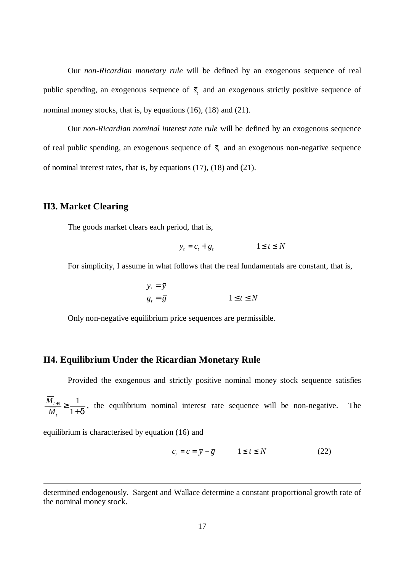Our *non-Ricardian monetary rule* will be defined by an exogenous sequence of real public spending, an exogenous sequence of  $\bar{s}$  and an exogenous strictly positive sequence of nominal money stocks, that is, by equations (16), (18) and (21).

Our *non-Ricardian nominal interest rate rule* will be defined by an exogenous sequence of real public spending, an exogenous sequence of  $\bar{s}$  and an exogenous non-negative sequence of nominal interest rates, that is, by equations (17), (18) and (21).

### **II3. Market Clearing**

The goods market clears each period, that is,

$$
y_t = c_t + g_t \qquad \qquad 1 \le t \le N
$$

For simplicity, I assume in what follows that the real fundamentals are constant, that is,

$$
y_t = \overline{y}
$$
  

$$
g_t = \overline{g}
$$
  

$$
1 \le t \le N
$$

Only non-negative equilibrium price sequences are permissible.

#### **II4. Equilibrium Under the Ricardian Monetary Rule**

Provided the exogenous and strictly positive nominal money stock sequence satisfies *M M t t*  $\frac{+1}{\cdot}$   $\geq$ +  $1$ ,  $1$  $1+d$ , the equilibrium nominal interest rate sequence will be non-negative. The

equilibrium is characterised by equation (16) and

$$
c_t = c = \overline{y} - \overline{g} \qquad 1 \le t \le N \tag{22}
$$

determined endogenously. Sargent and Wallace determine a constant proportional growth rate of the nominal money stock.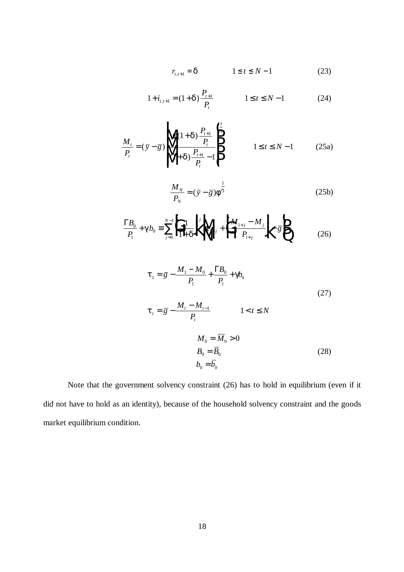$$
r_{t,t+1} = \mathbf{c} \qquad \qquad 1 \le t \le N-1 \tag{23}
$$

$$
1 + i_{t,t+1} = (1 + \mathbf{c} \mathbf{b} \frac{P_{t+1}}{P_t} \qquad 1 \le t \le N - 1 \qquad (24)
$$

$$
\frac{M_t}{P_t} = (\bar{y} - \bar{g}) \sqrt{\frac{f(1 + d) \frac{P_{t+1}}{P_t}}{\left(1 + d \frac{P_{t+1}}{P_t} - 1\right)}} \qquad 1 \le t \le N - 1 \qquad (25a)
$$

$$
\frac{M_N}{P_N} = (\bar{y} - \bar{g}) \mathbf{f}^{\frac{1}{h}}
$$
 (25b)

$$
\frac{\Gamma B_0}{P_1} + \mathcal{B}_0 = \sum_{j=0}^{N-1} \left| \prod_{i=1}^{N} \frac{1}{|A_i - A_i|} \right| \left| \prod_{i+j}^{j} + \prod_{i+j}^{N} \frac{M_{i+j} - M_{j}}{P_{i+j}} \right| - \overline{g} \right|
$$
(26)

$$
t_{1} = \bar{g} - \frac{M_{1} - M_{0}}{P_{1}} + \frac{\Gamma B_{0}}{P_{1}} + g_{0}
$$
\n
$$
t_{t} = \bar{g} - \frac{M_{t} - M_{t-1}}{P_{t}} \qquad 1 < t \le N
$$
\n
$$
M_{0} = \overline{M}_{0} > 0
$$
\n
$$
B_{0} = \overline{B}_{0}
$$
\n
$$
b_{0} = \overline{b}_{0}
$$
\n(28)

Note that the government solvency constraint (26) has to hold in equilibrium (even if it did not have to hold as an identity), because of the household solvency constraint and the goods market equilibrium condition.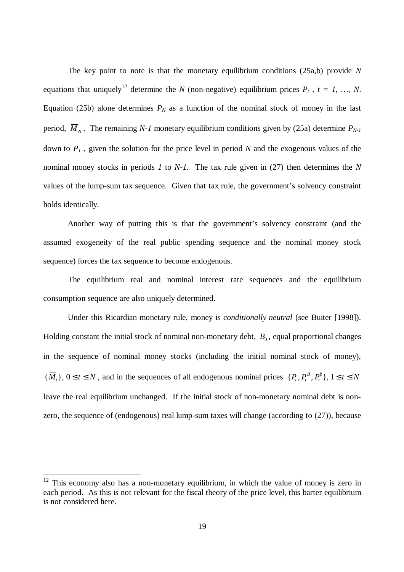The key point to note is that the monetary equilibrium conditions (25a,b) provide *N* equations that uniquely<sup>12</sup> determine the *N* (non-negative) equilibrium prices  $P_t$ ,  $t = 1$ , ..., *N*. Equation (25b) alone determines  $P_N$  as a function of the nominal stock of money in the last period,  $\overline{M}_{N}$ . The remaining *N-1* monetary equilibrium conditions given by (25a) determine  $P_{N-1}$ down to *P1* , given the solution for the price level in period *N* and the exogenous values of the nominal money stocks in periods *1* to *N-1*. The tax rule given in (27) then determines the *N* values of the lump-sum tax sequence. Given that tax rule, the government's solvency constraint holds identically.

Another way of putting this is that the government's solvency constraint (and the assumed exogeneity of the real public spending sequence and the nominal money stock sequence) forces the tax sequence to become endogenous.

The equilibrium real and nominal interest rate sequences and the equilibrium consumption sequence are also uniquely determined.

Under this Ricardian monetary rule, money is *conditionally neutral* (see Buiter [1998]). Holding constant the initial stock of nominal non-monetary debt,  $B_0$ , equal proportional changes in the sequence of nominal money stocks (including the initial nominal stock of money),  $\{\overline{M}_t\}$ ,  $0 \le t \le N$ , and in the sequences of all endogenous nominal prices  $\{P_t, P_t^B, P_t^b\}$ ,  $1 \le t \le N$ *t*  $\{b\}$ ,  $1 \leq t \leq$ leave the real equilibrium unchanged. If the initial stock of non-monetary nominal debt is nonzero, the sequence of (endogenous) real lump-sum taxes will change (according to (27)), because

 $12$  This economy also has a non-monetary equilibrium, in which the value of money is zero in each period. As this is not relevant for the fiscal theory of the price level, this barter equilibrium is not considered here.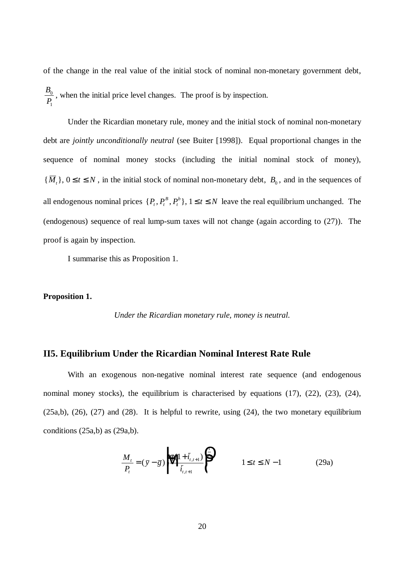of the change in the real value of the initial stock of nominal non-monetary government debt, *B P*  $\overline{0}$ 1 , when the initial price level changes. The proof is by inspection.

Under the Ricardian monetary rule, money and the initial stock of nominal non-monetary debt are *jointly unconditionally neutral* (see Buiter [1998]). Equal proportional changes in the sequence of nominal money stocks (including the initial nominal stock of money),  ${\overline{M}}_t$ ,  $0 \le t \le N$ , in the initial stock of nominal non-monetary debt,  $B_0$ , and in the sequences of all endogenous nominal prices  $\{P_t, P_t^B, P_t^b\}, 1 \le t \le N$ *t*  $\{b\}$ ,  $1 \le t \le N$  leave the real equilibrium unchanged. The (endogenous) sequence of real lump-sum taxes will not change (again according to (27)). The proof is again by inspection.

I summarise this as Proposition 1.

#### **Proposition 1.**

*Under the Ricardian monetary rule, money is neutral.*

### **II5. Equilibrium Under the Ricardian Nominal Interest Rate Rule**

With an exogenous non-negative nominal interest rate sequence (and endogenous nominal money stocks), the equilibrium is characterised by equations (17), (22), (23), (24),  $(25a,b)$ ,  $(26)$ ,  $(27)$  and  $(28)$ . It is helpful to rewrite, using  $(24)$ , the two monetary equilibrium conditions (25a,b) as (29a,b).

$$
\frac{M_{t}}{P_{t}} = (\bar{y} - \bar{g}) \sqrt{\frac{f(1 + \bar{t}_{t,t+1})}{\bar{t}_{t,t+1}}} \begin{cases} \frac{1}{h} & 1 \le t \le N - 1 \\ 0 & 1 \le t \le N - 1 \end{cases}
$$
 (29a)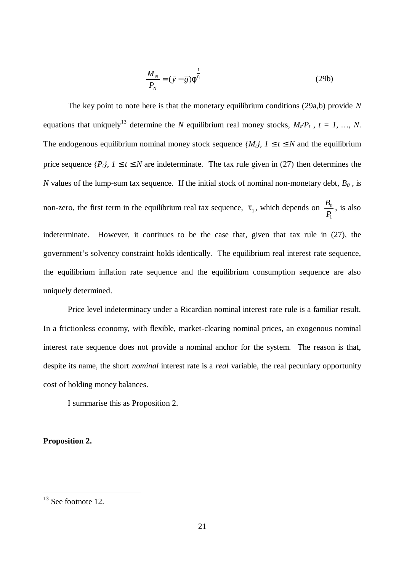$$
\frac{M_N}{P_N} = (\bar{y} - \bar{g}) \mathbf{f}^{\frac{1}{h}}
$$
\n(29b)

The key point to note here is that the monetary equilibrium conditions (29a,b) provide *N* equations that uniquely<sup>13</sup> determine the *N* equilibrium real money stocks,  $M/P_t$ ,  $t = 1$ , ..., *N*. The endogenous equilibrium nominal money stock sequence  $\{M_t\}$ , 1 £*t* £*N* and the equilibrium price sequence  $\{P_t\}$ , 1  $\pounds t \pounds N$  are indeterminate. The tax rule given in (27) then determines the *N* values of the lump-sum tax sequence. If the initial stock of nominal non-monetary debt,  $B_0$ , is non-zero, the first term in the equilibrium real tax sequence,  $t_1$ , which depends on  $\frac{B_1}{B_1}$ *P* 0 1 , is also indeterminate. However, it continues to be the case that, given that tax rule in (27), the government's solvency constraint holds identically. The equilibrium real interest rate sequence, the equilibrium inflation rate sequence and the equilibrium consumption sequence are also uniquely determined.

Price level indeterminacy under a Ricardian nominal interest rate rule is a familiar result. In a frictionless economy, with flexible, market-clearing nominal prices, an exogenous nominal interest rate sequence does not provide a nominal anchor for the system. The reason is that, despite its name, the short *nominal* interest rate is a *real* variable, the real pecuniary opportunity cost of holding money balances.

I summarise this as Proposition 2.

#### **Proposition 2.**

 $13$  See footnote 12.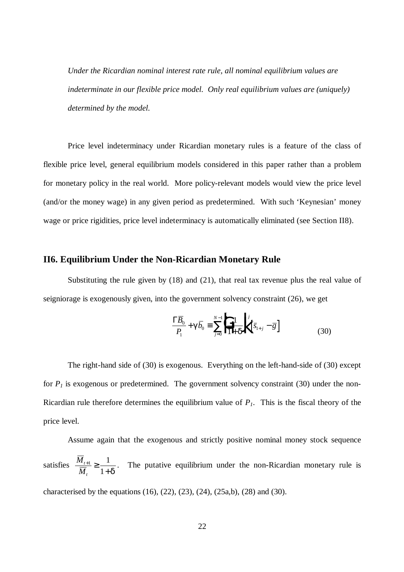*Under the Ricardian nominal interest rate rule, all nominal equilibrium values are indeterminate in our flexible price model. Only real equilibrium values are (uniquely) determined by the model.*

Price level indeterminacy under Ricardian monetary rules is a feature of the class of flexible price level, general equilibrium models considered in this paper rather than a problem for monetary policy in the real world. More policy-relevant models would view the price level (and/or the money wage) in any given period as predetermined. With such 'Keynesian' money wage or price rigidities, price level indeterminacy is automatically eliminated (see Section II8).

#### **II6. Equilibrium Under the Non-Ricardian Monetary Rule**

Substituting the rule given by  $(18)$  and  $(21)$ , that real tax revenue plus the real value of seigniorage is exogenously given, into the government solvency constraint (26), we get

$$
\frac{\Gamma \overline{B}_0}{P_1} + \mathbf{g} \overline{b}_0 \equiv \sum_{j=0}^{N-1} \left| \frac{1}{1 + \mathbf{g}} \right|^j \left[ \overline{s}_{1+j} - \overline{g} \right]
$$
(30)

The right-hand side of (30) is exogenous. Everything on the left-hand-side of (30) except for  $P<sub>1</sub>$  is exogenous or predetermined. The government solvency constraint (30) under the non-Ricardian rule therefore determines the equilibrium value of  $P_I$ . This is the fiscal theory of the price level.

Assume again that the exogenous and strictly positive nominal money stock sequence satisfies  $\frac{M}{\overline{M}}$ *M t t*  $\frac{+1}{\cdot}$   $\geq$ +  $_1$   $\frac{1}{2}$  $1+d$ . The putative equilibrium under the non-Ricardian monetary rule is characterised by the equations  $(16)$ ,  $(22)$ ,  $(23)$ ,  $(24)$ ,  $(25a,b)$ ,  $(28)$  and  $(30)$ .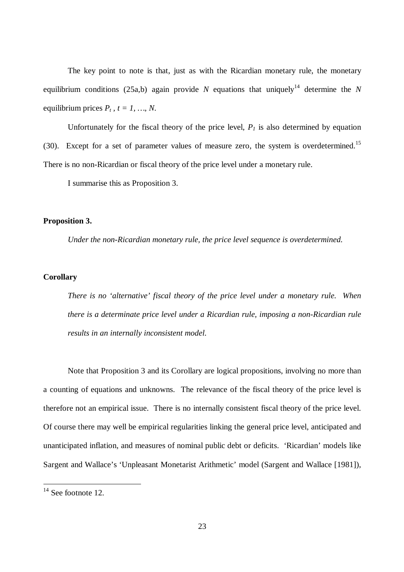The key point to note is that, just as with the Ricardian monetary rule, the monetary equilibrium conditions (25a,b) again provide *N* equations that uniquely<sup>14</sup> determine the *N* equilibrium prices  $P_t$ ,  $t = 1, ..., N$ .

Unfortunately for the fiscal theory of the price level,  $P<sub>l</sub>$  is also determined by equation (30). Except for a set of parameter values of measure zero, the system is overdetermined.<sup>15</sup> There is no non-Ricardian or fiscal theory of the price level under a monetary rule.

I summarise this as Proposition 3.

#### **Proposition 3.**

*Under the non-Ricardian monetary rule, the price level sequence is overdetermined.*

#### **Corollary**

*There is no 'alternative' fiscal theory of the price level under a monetary rule. When there is a determinate price level under a Ricardian rule, imposing a non-Ricardian rule results in an internally inconsistent model.*

Note that Proposition 3 and its Corollary are logical propositions, involving no more than a counting of equations and unknowns. The relevance of the fiscal theory of the price level is therefore not an empirical issue. There is no internally consistent fiscal theory of the price level. Of course there may well be empirical regularities linking the general price level, anticipated and unanticipated inflation, and measures of nominal public debt or deficits. 'Ricardian' models like Sargent and Wallace's 'Unpleasant Monetarist Arithmetic' model (Sargent and Wallace [1981]),

 $14$  See footnote 12.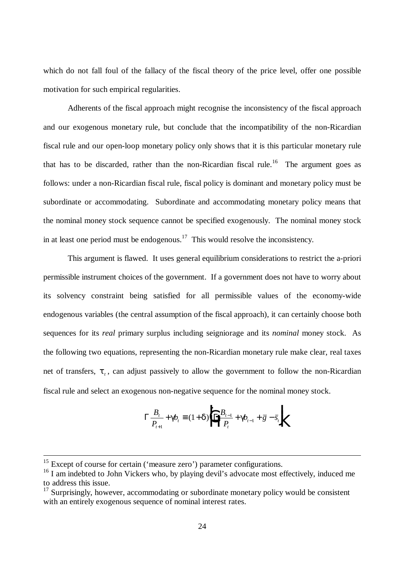which do not fall foul of the fallacy of the fiscal theory of the price level, offer one possible motivation for such empirical regularities.

Adherents of the fiscal approach might recognise the inconsistency of the fiscal approach and our exogenous monetary rule, but conclude that the incompatibility of the non-Ricardian fiscal rule and our open-loop monetary policy only shows that it is this particular monetary rule that has to be discarded, rather than the non-Ricardian fiscal rule.<sup>16</sup> The argument goes as follows: under a non-Ricardian fiscal rule, fiscal policy is dominant and monetary policy must be subordinate or accommodating. Subordinate and accommodating monetary policy means that the nominal money stock sequence cannot be specified exogenously. The nominal money stock in at least one period must be endogenous.<sup>17</sup> This would resolve the inconsistency.

This argument is flawed. It uses general equilibrium considerations to restrict the a-priori permissible instrument choices of the government. If a government does not have to worry about its solvency constraint being satisfied for all permissible values of the economy-wide endogenous variables (the central assumption of the fiscal approach), it can certainly choose both sequences for its *real* primary surplus including seigniorage and its *nominal* money stock. As the following two equations, representing the non-Ricardian monetary rule make clear, real taxes net of transfers, *t<sup>t</sup>* , can adjust passively to allow the government to follow the non-Ricardian fiscal rule and select an exogenous non-negative sequence for the nominal money stock.

$$
\Gamma \frac{B_t}{P_{t+1}} + \mathbf{g} \mathbf{h}_t \equiv (1 + \mathbf{d}) \mathbf{h} \frac{B_{t-1}}{P_t} + \mathbf{g} \mathbf{h}_{t-1} + \overline{g} - \overline{s}_t \mathbf{h}
$$

 $15$  Except of course for certain ('measure zero') parameter configurations.

<sup>&</sup>lt;sup>16</sup> I am indebted to John Vickers who, by playing devil's advocate most effectively, induced me to address this issue.

<sup>&</sup>lt;sup>17</sup> Surprisingly, however, accommodating or subordinate monetary policy would be consistent with an entirely exogenous sequence of nominal interest rates.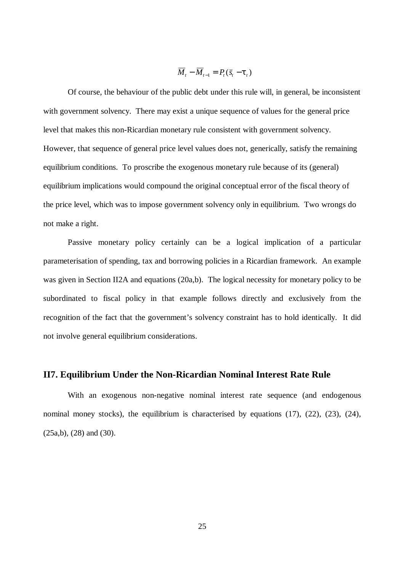$$
\overline{M}_t - \overline{M}_{t-1} = P_t(\overline{s}_t - \boldsymbol{t}_t)
$$

Of course, the behaviour of the public debt under this rule will, in general, be inconsistent with government solvency. There may exist a unique sequence of values for the general price level that makes this non-Ricardian monetary rule consistent with government solvency. However, that sequence of general price level values does not, generically, satisfy the remaining equilibrium conditions. To proscribe the exogenous monetary rule because of its (general) equilibrium implications would compound the original conceptual error of the fiscal theory of the price level, which was to impose government solvency only in equilibrium. Two wrongs do not make a right.

Passive monetary policy certainly can be a logical implication of a particular parameterisation of spending, tax and borrowing policies in a Ricardian framework. An example was given in Section II2A and equations (20a,b). The logical necessity for monetary policy to be subordinated to fiscal policy in that example follows directly and exclusively from the recognition of the fact that the government's solvency constraint has to hold identically. It did not involve general equilibrium considerations.

#### **II7. Equilibrium Under the Non-Ricardian Nominal Interest Rate Rule**

With an exogenous non-negative nominal interest rate sequence (and endogenous nominal money stocks), the equilibrium is characterised by equations  $(17)$ ,  $(22)$ ,  $(23)$ ,  $(24)$ , (25a,b), (28) and (30).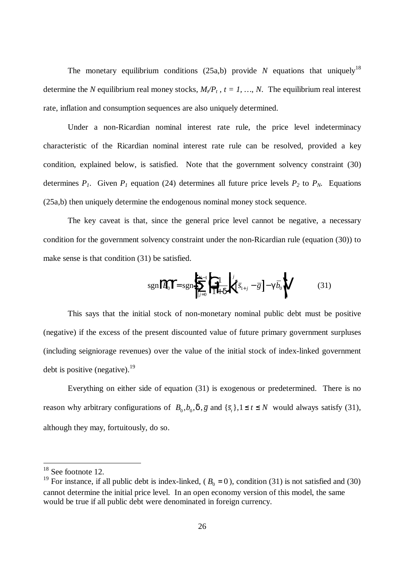The monetary equilibrium conditions  $(25a,b)$  provide N equations that uniquely<sup>18</sup> determine the *N* equilibrium real money stocks,  $M_{\ell}P_t$ ,  $t = 1, ..., N$ . The equilibrium real interest rate, inflation and consumption sequences are also uniquely determined.

Under a non-Ricardian nominal interest rate rule, the price level indeterminacy characteristic of the Ricardian nominal interest rate rule can be resolved, provided a key condition, explained below, is satisfied. Note that the government solvency constraint (30) determines  $P_1$ . Given  $P_1$  equation (24) determines all future price levels  $P_2$  to  $P_N$ . Equations (25a,b) then uniquely determine the endogenous nominal money stock sequence.

The key caveat is that, since the general price level cannot be negative, a necessary condition for the government solvency constraint under the non-Ricardian rule (equation (30)) to make sense is that condition (31) be satisfied.

$$
sgn\left\|\overline{B}_{0}\right\| = sgn\left\|\sum_{j=0}^{N-1} \left|\frac{1}{1+d}\right|\right|^{j} \left[\overline{s}_{1+j} - \overline{g}\right] - \mathbf{g}\overline{b}_{0}\right\| \tag{31}
$$

This says that the initial stock of non-monetary nominal public debt must be positive (negative) if the excess of the present discounted value of future primary government surpluses (including seigniorage revenues) over the value of the initial stock of index-linked government debt is positive (negative).<sup>19</sup>

Everything on either side of equation (31) is exogenous or predetermined. There is no reason why arbitrary configurations of  $B_0$ ,  $b_0$ ,  $\overline{a}$ ,  $\overline{g}$  and  $\{\overline{s}_t\}$ ,  $1 \le t \le N$  would always satisfy (31), although they may, fortuitously, do so.

 $18$  See footnote 12.

<sup>&</sup>lt;sup>19</sup> For instance, if all public debt is index-linked,  $(B_0 = 0)$ , condition (31) is not satisfied and (30) cannot determine the initial price level. In an open economy version of this model, the same would be true if all public debt were denominated in foreign currency.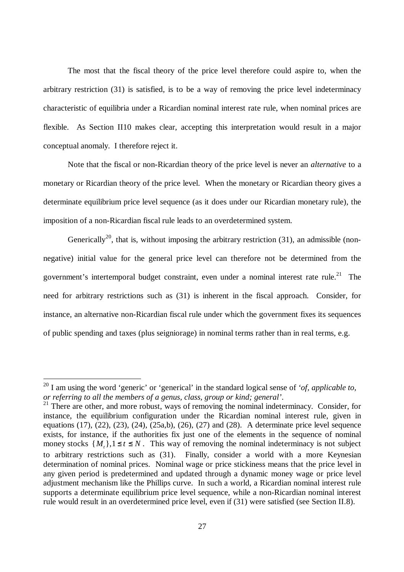The most that the fiscal theory of the price level therefore could aspire to, when the arbitrary restriction (31) is satisfied, is to be a way of removing the price level indeterminacy characteristic of equilibria under a Ricardian nominal interest rate rule, when nominal prices are flexible. As Section II10 makes clear, accepting this interpretation would result in a major conceptual anomaly. I therefore reject it.

Note that the fiscal or non-Ricardian theory of the price level is never an *alternative* to a monetary or Ricardian theory of the price level. When the monetary or Ricardian theory gives a determinate equilibrium price level sequence (as it does under our Ricardian monetary rule), the imposition of a non-Ricardian fiscal rule leads to an overdetermined system.

Generically<sup>20</sup>, that is, without imposing the arbitrary restriction (31), an admissible (nonnegative) initial value for the general price level can therefore not be determined from the government's intertemporal budget constraint, even under a nominal interest rate rule.<sup>21</sup> The need for arbitrary restrictions such as (31) is inherent in the fiscal approach. Consider, for instance, an alternative non-Ricardian fiscal rule under which the government fixes its sequences of public spending and taxes (plus seigniorage) in nominal terms rather than in real terms, e.g.

<sup>20</sup> I am using the word 'generic' or 'generical' in the standard logical sense of *'of, applicable to, or referring to all the members of a genus, class, group or kind; general'*.

 $21$  There are other, and more robust, ways of removing the nominal indeterminacy. Consider, for instance, the equilibrium configuration under the Ricardian nominal interest rule, given in equations (17), (22), (23), (24), (25a,b), (26), (27) and (28). A determinate price level sequence exists, for instance, if the authorities fix just one of the elements in the sequence of nominal money stocks  $\{M_t\}$ ,  $1 \le t \le N$ . This way of removing the nominal indeterminacy is not subject to arbitrary restrictions such as (31). Finally, consider a world with a more Keynesian determination of nominal prices. Nominal wage or price stickiness means that the price level in any given period is predetermined and updated through a dynamic money wage or price level adjustment mechanism like the Phillips curve. In such a world, a Ricardian nominal interest rule supports a determinate equilibrium price level sequence, while a non-Ricardian nominal interest rule would result in an overdetermined price level, even if (31) were satisfied (see Section II.8).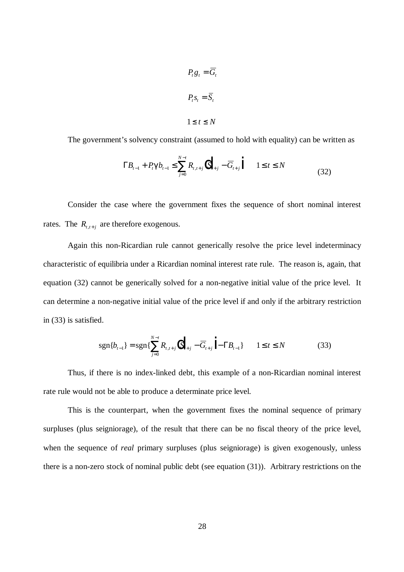$$
P_t g_t = \overline{G}_t
$$
  

$$
P_t s_t = \overline{S}_t
$$
  

$$
1 \le t \le N
$$

The government's solvency constraint (assumed to hold with equality) can be written as

$$
\Gamma B_{t-1} + P_t \mathbf{g} b_{t-1} \le \sum_{j=0}^{N-t} R_{t,t+j} \left| \overline{S}_{t+j} - \overline{G}_{t+j} \right| \qquad 1 \le t \le N \tag{32}
$$

Consider the case where the government fixes the sequence of short nominal interest rates. The  $R_{t,t+j}$  are therefore exogenous.

Again this non-Ricardian rule cannot generically resolve the price level indeterminacy characteristic of equilibria under a Ricardian nominal interest rate rule. The reason is, again, that equation (32) cannot be generically solved for a non-negative initial value of the price level. It can determine a non-negative initial value of the price level if and only if the arbitrary restriction in (33) is satisfied.

$$
sgn\{b_{t-1}\} = sgn\{\sum_{j=0}^{N-t} R_{t,t+j} (\|\overline{S}_{t+j} - \overline{G}_{t+j}) - \Gamma B_{t-1}\} \qquad 1 \le t \le N
$$
 (33)

Thus, if there is no index-linked debt, this example of a non-Ricardian nominal interest rate rule would not be able to produce a determinate price level.

This is the counterpart, when the government fixes the nominal sequence of primary surpluses (plus seigniorage), of the result that there can be no fiscal theory of the price level, when the sequence of *real* primary surpluses (plus seigniorage) is given exogenously, unless there is a non-zero stock of nominal public debt (see equation (31)). Arbitrary restrictions on the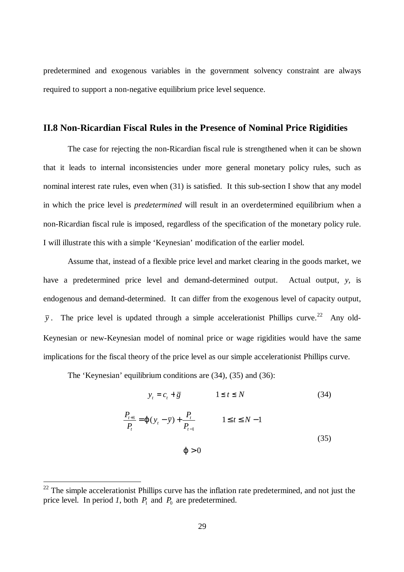predetermined and exogenous variables in the government solvency constraint are always required to support a non-negative equilibrium price level sequence.

## **II.8 Non-Ricardian Fiscal Rules in the Presence of Nominal Price Rigidities**

The case for rejecting the non-Ricardian fiscal rule is strengthened when it can be shown that it leads to internal inconsistencies under more general monetary policy rules, such as nominal interest rate rules, even when (31) is satisfied. It this sub-section I show that any model in which the price level is *predetermined* will result in an overdetermined equilibrium when a non-Ricardian fiscal rule is imposed, regardless of the specification of the monetary policy rule. I will illustrate this with a simple 'Keynesian' modification of the earlier model.

Assume that, instead of a flexible price level and market clearing in the goods market, we have a predetermined price level and demand-determined output. Actual output, *y,* is endogenous and demand-determined. It can differ from the exogenous level of capacity output,  $\bar{y}$ . The price level is updated through a simple accelerationist Phillips curve.<sup>22</sup> Any old-Keynesian or new-Keynesian model of nominal price or wage rigidities would have the same implications for the fiscal theory of the price level as our simple accelerationist Phillips curve.

The 'Keynesian' equilibrium conditions are (34), (35) and (36):

$$
y_t = c_t + \overline{g} \qquad \qquad 1 \le t \le N \tag{34}
$$

$$
\frac{P_{t+1}}{P_t} = \mathbf{j} (y_t - \bar{y}) + \frac{P_t}{P_{t-1}} \qquad 1 \le t \le N - 1
$$
\n
$$
\mathbf{j} > 0 \tag{35}
$$

 $22$  The simple accelerationist Phillips curve has the inflation rate predetermined, and not just the price level. In period *1*, both  $P_1$  and  $P_0$  are predetermined.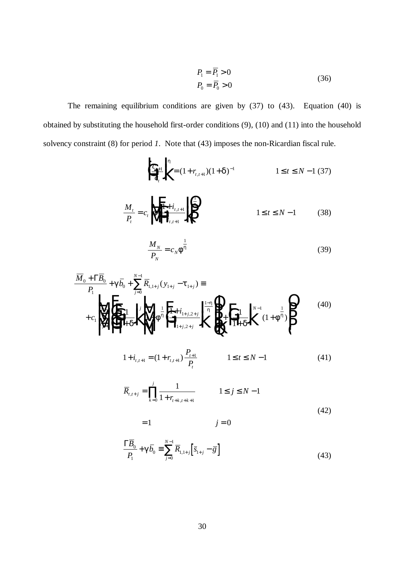$$
P_1 = \overline{P_1} > 0
$$
  
\n
$$
P_0 = \overline{P_0} > 0
$$
\n(36)

The remaining equilibrium conditions are given by (37) to (43). Equation (40) is obtained by substituting the household first-order conditions (9), (10) and (11) into the household solvency constraint (8) for period *1*. Note that (43) imposes the non-Ricardian fiscal rule.

$$
\left\| \mathcal{L}_{t+1} \right\|_{\mathcal{L}_{t}}^{h} = (1 + r_{t,t+1})(1 + \mathbf{d}^{-1}) \qquad 1 \le t \le N - 1 \tag{37}
$$

$$
\frac{M_t}{P_t} = c_t \sqrt{\frac{1 + i_{t, t+1}}{T} \sqrt{\frac{1}{T}} \sqrt{\frac{1}{T} \sqrt{\frac{1}{T} \sqrt{\frac{1}{T} \sqrt{\frac{1}{T} \sqrt{\frac{1}{T} \sqrt{\frac{1}{T} \sqrt{\frac{1}{T} \sqrt{\frac{1}{T} \sqrt{\frac{1}{T} \sqrt{\frac{1}{T} \sqrt{\frac{1}{T} \sqrt{\frac{1}{T} \sqrt{\frac{1}{T} \sqrt{\frac{1}{T} \sqrt{\frac{1}{T} \sqrt{\frac{1}{T} \sqrt{\frac{1}{T} \sqrt{\frac{1}{T} \sqrt{\frac{1}{T} \sqrt{\frac{1}{T} \sqrt{\frac{1}{T} \sqrt{\frac{1}{T} \sqrt{\frac{1}{T} \sqrt{\frac{1}{T} \sqrt{\frac{1}{T} \sqrt{\frac{1}{T} \sqrt{\frac{1}{T} \sqrt{\frac{1}{T} \sqrt{\frac{1}{T} \sqrt{\frac{1}{T} \sqrt{\frac{1}{T} \sqrt{\frac{1}{T} \sqrt{\frac{1}{T} \sqrt{\frac{1}{T} \sqrt{\frac{1}{T} \sqrt{\frac{1}{T} \sqrt{\frac{1}{T} \sqrt{\frac{1}{T} \sqrt{\frac{1}{T} \sqrt{\frac{1}{T} \sqrt{\frac{1}{T} \sqrt{\frac{1}{T} \sqrt{\frac{1}{T} \sqrt{\frac{1}{T} \sqrt{\frac{1}{T} \sqrt{\frac{1}{T} \sqrt{\frac{1}{T} \sqrt{\frac{1}{T} \sqrt{\frac{1}{T} \sqrt{\frac{1}{T} \sqrt{\frac{1}{T} \sqrt{\frac{1}{T} \sqrt{\frac{1}{T} \sqrt{\frac{1}{T} \sqrt{\frac{1}{T} \sqrt{\frac{1}{T} \sqrt{\frac{1}{T} \sqrt{\frac{1}{T} \sqrt{\frac{1}{T} \sqrt{\frac{1}{T} \sqrt{\frac{1}{T} \sqrt{\frac{1}{T} \sqrt{\frac{1}{T} \sqrt{\frac{1}{T} \sqrt{\frac{1}{T} \sqrt{\frac{1}{T} \sqrt{\frac{1}{T} \sqrt{\frac{1}{T} \sqrt{\frac{1}{T} \sqrt{\frac{1}{T} \sqrt{\frac{1}{T} \sqrt{\frac{1}{T} \sqrt{\frac{1}{T} \sqrt{\frac{1}{T} \sqrt{\frac{1}{T} \sqrt{\frac{1}{T} \sqrt{\frac{1}{T} \sqrt{\frac{1}{T} \sqrt{\frac{1}{T} \sqrt{\frac{1}{T} \
$$

$$
\frac{M_N}{P_N} = c_N \mathbf{f}^{\frac{1}{h}}
$$
\n(39)

$$
\overline{M}_{0} + \Gamma \overline{B}_{0} + g \overline{b}_{0} + \sum_{j=0}^{N-1} \overline{R}_{1,1+j} (y_{1+j} - t_{1+j}) \equiv
$$
\n
$$
+ c_{1} \sqrt{\sum_{j=0}^{N-2} \sum_{j=0}^{N-1} \left[ \frac{1}{n} + f^{\frac{1}{n}} \left[ \frac{1 + i_{1+j,2+j}}{\mu} \right]_{i_{1+j,2+j}}^{i_{1} - i_{1+j}} \right]} \left\{ \sum_{j=0}^{N-1} \left[ \frac{1}{n} + f^{\frac{1}{n}} \right]_{i_{1+j,2+j}}^{i_{1+j,2+j}} \right\}^{N-1} (1 + f^{\frac{1}{n}}) \right\}
$$
\n(40)

$$
1 + i_{t,t+1} = (1 + r_{t,t+1}) \frac{P_{t+1}}{P_t} \qquad 1 \le t \le N - 1 \tag{41}
$$

$$
\overline{R}_{t,t+j} = \prod_{k=0}^{j} \frac{1}{1 + r_{t+k,t+k+1}}
$$
 1 \le j \le N - 1 (42)

$$
=1 \qquad \qquad j=0
$$

$$
\frac{\Gamma \overline{B}_0}{P_1} + \mathbf{g} \overline{b}_0 \equiv \sum_{j=0}^{N-1} \overline{R}_{1,1+j} \left[ \overline{s}_{1+j} - \overline{g} \right]
$$
(43)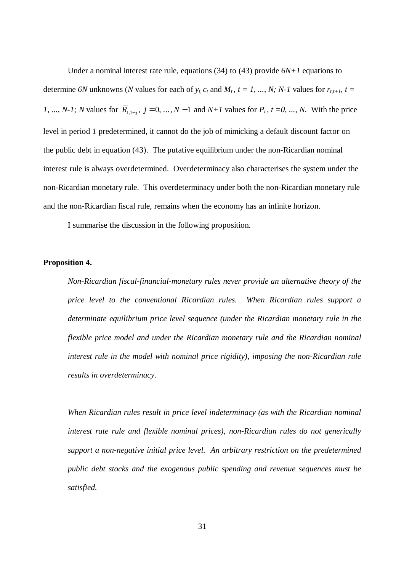Under a nominal interest rate rule, equations  $(34)$  to  $(43)$  provide  $6N+1$  equations to determine 6N unknowns (N values for each of  $y_t$ ,  $c_t$  and  $M_t$ ,  $t = 1, ..., N$ ; N-1 values for  $r_{t,t+1}$ ,  $t =$ *1*, ..., *N*-1; *N* values for  $\overline{R}_{1,1+j}$ ,  $j = 0, ..., N-1$  and  $N+1$  values for  $P_t$ ,  $t = 0, ..., N$ . With the price level in period *1* predetermined, it cannot do the job of mimicking a default discount factor on the public debt in equation (43). The putative equilibrium under the non-Ricardian nominal interest rule is always overdetermined. Overdeterminacy also characterises the system under the non-Ricardian monetary rule. This overdeterminacy under both the non-Ricardian monetary rule and the non-Ricardian fiscal rule, remains when the economy has an infinite horizon.

I summarise the discussion in the following proposition.

#### **Proposition 4.**

*Non-Ricardian fiscal-financial-monetary rules never provide an alternative theory of the price level to the conventional Ricardian rules. When Ricardian rules support a determinate equilibrium price level sequence (under the Ricardian monetary rule in the flexible price model and under the Ricardian monetary rule and the Ricardian nominal interest rule in the model with nominal price rigidity), imposing the non-Ricardian rule results in overdeterminacy.*

*When Ricardian rules result in price level indeterminacy (as with the Ricardian nominal interest rate rule and flexible nominal prices), non-Ricardian rules do not generically support a non-negative initial price level. An arbitrary restriction on the predetermined public debt stocks and the exogenous public spending and revenue sequences must be satisfied.*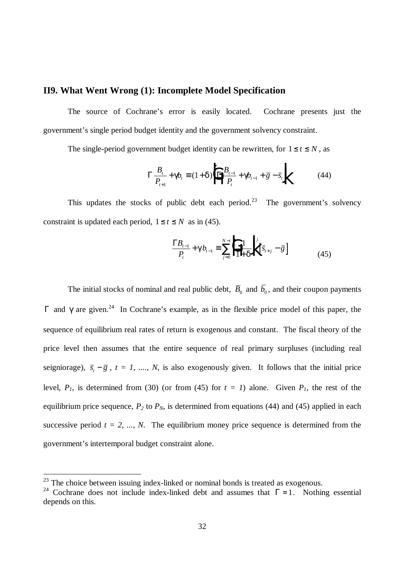### **II9. What Went Wrong (1): Incomplete Model Specification**

The source of Cochrane's error is easily located. Cochrane presents just the government's single period budget identity and the government solvency constraint.

The single-period government budget identity can be rewritten, for  $1 \le t \le N$ , as

$$
\Gamma \frac{B_t}{P_{t+1}} + \mathbf{g}_t \equiv (1 + \mathbf{d}) \left| \Gamma \frac{B_{t-1}}{P_t} + \mathbf{g}_{t-1} + \overline{g} - \overline{s}_t \right| \tag{44}
$$

This updates the stocks of public debt each period.<sup>23</sup> The government's solvency constraint is updated each period,  $1 \le t \le N$  as in (45).

$$
\frac{\Gamma B_{t-1}}{P_t} + \mathbf{g} b_{t-1} \equiv \sum_{j=0}^{N-t} \left| \frac{1}{1+\mathbf{d}} \right|^j \left[ \bar{s}_{t+j} - \bar{g} \right]
$$
(45)

The initial stocks of nominal and real public debt,  $\overline{B_0}$  and  $b_0$ , and their coupon payments  $Γ$  and  $\boldsymbol{\epsilon}$  are given.<sup>24</sup> In Cochrane's example, as in the flexible price model of this paper, the sequence of equilibrium real rates of return is exogenous and constant. The fiscal theory of the price level then assumes that the entire sequence of real primary surpluses (including real seigniorage),  $\bar{s}_t - \bar{g}$ ,  $t = 1$ , ..., N, is also exogenously given. It follows that the initial price level,  $P_1$ , is determined from (30) (or from (45) for  $t = 1$ ) alone. Given  $P_1$ , the rest of the equilibrium price sequence,  $P_2$  to  $P_N$ , is determined from equations (44) and (45) applied in each successive period  $t = 2, ..., N$ . The equilibrium money price sequence is determined from the government's intertemporal budget constraint alone.

 $^{23}$  The choice between issuing index-linked or nominal bonds is treated as exogenous.

<sup>&</sup>lt;sup>24</sup> Cochrane does not include index-linked debt and assumes that  $\Gamma = 1$ . Nothing essential depends on this.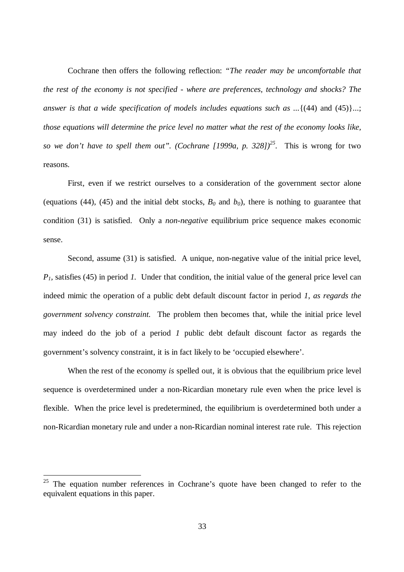Cochrane then offers the following reflection: *"The reader may be uncomfortable that the rest of the economy is not specified - where are preferences, technology and shocks? The answer is that a wide specification of models includes equations such as ...*{(44) and (45)}...; *those equations will determine the price level no matter what the rest of the economy looks like, so we don't have to spell them out". (Cochrane [1999a, p. 328])<sup>25</sup> .* This is wrong for two reasons.

First, even if we restrict ourselves to a consideration of the government sector alone (equations (44), (45) and the initial debt stocks,  $B_0$  and  $b_0$ ), there is nothing to guarantee that condition (31) is satisfied. Only a *non-negative* equilibrium price sequence makes economic sense.

Second, assume (31) is satisfied. A unique, non-negative value of the initial price level, *P1,* satisfies (45) in period *1.* Under that condition, the initial value of the general price level can indeed mimic the operation of a public debt default discount factor in period *1*, *as regards the government solvency constraint.* The problem then becomes that, while the initial price level may indeed do the job of a period *1* public debt default discount factor as regards the government's solvency constraint, it is in fact likely to be 'occupied elsewhere'.

When the rest of the economy *is* spelled out, it is obvious that the equilibrium price level sequence is overdetermined under a non-Ricardian monetary rule even when the price level is flexible. When the price level is predetermined, the equilibrium is overdetermined both under a non-Ricardian monetary rule and under a non-Ricardian nominal interest rate rule. This rejection

 $25$  The equation number references in Cochrane's quote have been changed to refer to the equivalent equations in this paper.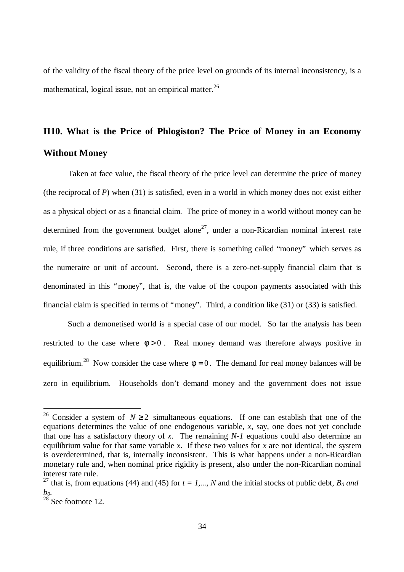of the validity of the fiscal theory of the price level on grounds of its internal inconsistency, is a mathematical, logical issue, not an empirical matter. $^{26}$ 

# **II10. What is the Price of Phlogiston? The Price of Money in an Economy Without Money**

Taken at face value, the fiscal theory of the price level can determine the price of money (the reciprocal of *P*) when (31) is satisfied, even in a world in which money does not exist either as a physical object or as a financial claim. The price of money in a world without money can be determined from the government budget alone<sup>27</sup>, under a non-Ricardian nominal interest rate rule, if three conditions are satisfied. First, there is something called "money" which serves as the numeraire or unit of account. Second, there is a zero-net-supply financial claim that is denominated in this "money", that is, the value of the coupon payments associated with this financial claim is specified in terms of "money". Third, a condition like (31) or (33) is satisfied.

Such a demonetised world is a special case of our model. So far the analysis has been restricted to the case where  $f > 0$ . Real money demand was therefore always positive in equilibrium.<sup>28</sup> Now consider the case where  $f=0$ . The demand for real money balances will be zero in equilibrium. Households don't demand money and the government does not issue

<sup>&</sup>lt;sup>26</sup> Consider a system of  $N \ge 2$  simultaneous equations. If one can establish that one of the equations determines the value of one endogenous variable, *x*, say, one does not yet conclude that one has a satisfactory theory of *x*. The remaining *N-1* equations could also determine an equilibrium value for that same variable *x*. If these two values for *x* are not identical, the system is overdetermined, that is, internally inconsistent. This is what happens under a non-Ricardian monetary rule and, when nominal price rigidity is present, also under the non-Ricardian nominal interest rate rule.

<sup>&</sup>lt;sup>27</sup> that is, from equations (44) and (45) for  $t = 1,..., N$  and the initial stocks of public debt,  $B_0$  and *b0.*

 $28$  See footnote 12.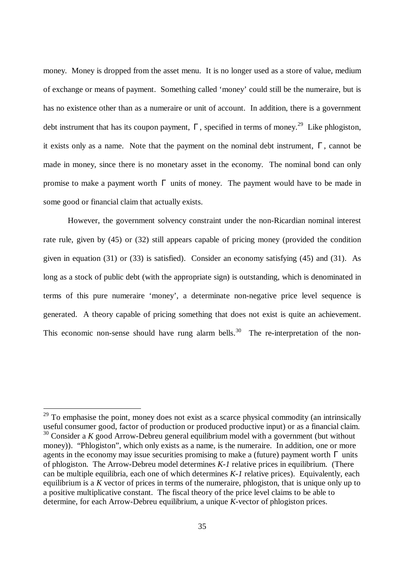money. Money is dropped from the asset menu. It is no longer used as a store of value, medium of exchange or means of payment. Something called 'money' could still be the numeraire, but is has no existence other than as a numeraire or unit of account. In addition, there is a government debt instrument that has its coupon payment,  $\Gamma$ , specified in terms of money.<sup>29</sup> Like phlogiston, it exists only as a name. Note that the payment on the nominal debt instrument,  $\Gamma$ , cannot be made in money, since there is no monetary asset in the economy. The nominal bond can only promise to make a payment worth  $\Gamma$  units of money. The payment would have to be made in some good or financial claim that actually exists.

However, the government solvency constraint under the non-Ricardian nominal interest rate rule, given by (45) or (32) still appears capable of pricing money (provided the condition given in equation (31) or (33) is satisfied). Consider an economy satisfying (45) and (31). As long as a stock of public debt (with the appropriate sign) is outstanding, which is denominated in terms of this pure numeraire 'money', a determinate non-negative price level sequence is generated. A theory capable of pricing something that does not exist is quite an achievement. This economic non-sense should have rung alarm bells.<sup>30</sup> The re-interpretation of the non-

 $29$  To emphasise the point, money does not exist as a scarce physical commodity (an intrinsically useful consumer good, factor of production or produced productive input) or as a financial claim. <sup>30</sup> Consider a *K* good Arrow-Debreu general equilibrium model with a government (but without money)). "Phlogiston", which only exists as a name, is the numeraire. In addition, one or more agents in the economy may issue securities promising to make a (future) payment worth  $\Gamma$  units of phlogiston. The Arrow-Debreu model determines *K-1* relative prices in equilibrium. (There can be multiple equilibria, each one of which determines *K-1* relative prices). Equivalently, each equilibrium is a *K* vector of prices in terms of the numeraire, phlogiston, that is unique only up to a positive multiplicative constant. The fiscal theory of the price level claims to be able to determine, for each Arrow-Debreu equilibrium, a unique *K*-vector of phlogiston prices.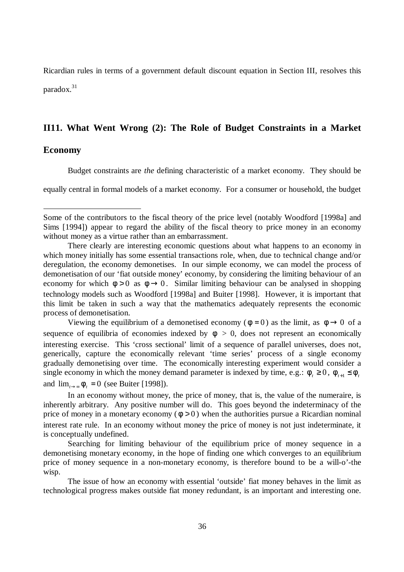Ricardian rules in terms of a government default discount equation in Section III, resolves this paradox. $31$ 

#### **II11. What Went Wrong (2): The Role of Budget Constraints in a Market**

#### **Economy**

 $\overline{a}$ 

Budget constraints are *the* defining characteristic of a market economy. They should be

equally central in formal models of a market economy. For a consumer or household, the budget

Viewing the equilibrium of a demonetised economy ( $f=0$ ) as the limit, as  $f\rightarrow 0$  of a sequence of equilibria of economies indexed by  $f > 0$ , does not represent an economically interesting exercise. This 'cross sectional' limit of a sequence of parallel universes, does not, generically, capture the economically relevant 'time series' process of a single economy gradually demonetising over time. The economically interesting experiment would consider a single economy in which the money demand parameter is indexed by time, e.g.:  $f_{\tau} \ge 0$ ,  $f_{\tau+1} \le f_{\tau}$ and  $\lim_{t \to \infty} f_t = 0$  (see Buiter [1998]).

In an economy without money, the price of money, that is, the value of the numeraire, is inherently arbitrary. Any positive number will do. This goes beyond the indeterminacy of the price of money in a monetary economy  $(f>0)$  when the authorities pursue a Ricardian nominal interest rate rule. In an economy without money the price of money is not just indeterminate, it is conceptually undefined.

Searching for limiting behaviour of the equilibrium price of money sequence in a demonetising monetary economy, in the hope of finding one which converges to an equilibrium price of money sequence in a non-monetary economy, is therefore bound to be a will-o'-the wisp.

The issue of how an economy with essential 'outside' fiat money behaves in the limit as technological progress makes outside fiat money redundant, is an important and interesting one.

Some of the contributors to the fiscal theory of the price level (notably Woodford [1998a] and Sims [1994]) appear to regard the ability of the fiscal theory to price money in an economy without money as a virtue rather than an embarrassment.

There clearly are interesting economic questions about what happens to an economy in which money initially has some essential transactions role, when, due to technical change and/or deregulation, the economy demonetises. In our simple economy, we can model the process of demonetisation of our 'fiat outside money' economy, by considering the limiting behaviour of an economy for which  $f>0$  as  $f\rightarrow 0$ . Similar limiting behaviour can be analysed in shopping technology models such as Woodford [1998a] and Buiter [1998]. However, it is important that this limit be taken in such a way that the mathematics adequately represents the economic process of demonetisation.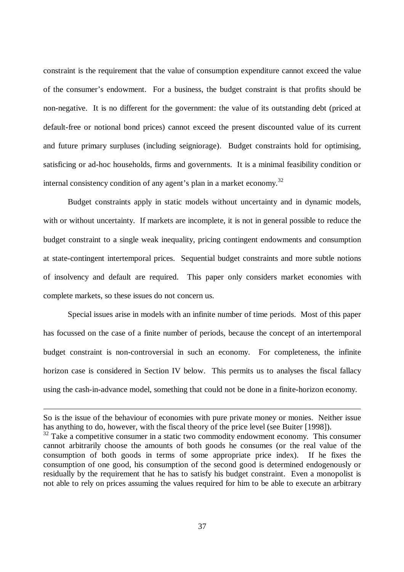constraint is the requirement that the value of consumption expenditure cannot exceed the value of the consumer's endowment. For a business, the budget constraint is that profits should be non-negative. It is no different for the government: the value of its outstanding debt (priced at default-free or notional bond prices) cannot exceed the present discounted value of its current and future primary surpluses (including seigniorage). Budget constraints hold for optimising, satisficing or ad-hoc households, firms and governments. It is a minimal feasibility condition or internal consistency condition of any agent's plan in a market economy.<sup>32</sup>

Budget constraints apply in static models without uncertainty and in dynamic models, with or without uncertainty. If markets are incomplete, it is not in general possible to reduce the budget constraint to a single weak inequality, pricing contingent endowments and consumption at state-contingent intertemporal prices. Sequential budget constraints and more subtle notions of insolvency and default are required. This paper only considers market economies with complete markets, so these issues do not concern us.

Special issues arise in models with an infinite number of time periods. Most of this paper has focussed on the case of a finite number of periods, because the concept of an intertemporal budget constraint is non-controversial in such an economy. For completeness, the infinite horizon case is considered in Section IV below. This permits us to analyses the fiscal fallacy using the cash-in-advance model, something that could not be done in a finite-horizon economy.

So is the issue of the behaviour of economies with pure private money or monies. Neither issue has anything to do, however, with the fiscal theory of the price level (see Buiter [1998]).

 $32$  Take a competitive consumer in a static two commodity endowment economy. This consumer cannot arbitrarily choose the amounts of both goods he consumes (or the real value of the consumption of both goods in terms of some appropriate price index). If he fixes the consumption of one good, his consumption of the second good is determined endogenously or residually by the requirement that he has to satisfy his budget constraint. Even a monopolist is not able to rely on prices assuming the values required for him to be able to execute an arbitrary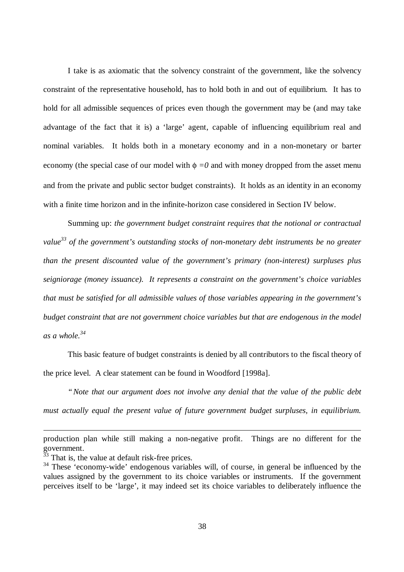I take is as axiomatic that the solvency constraint of the government, like the solvency constraint of the representative household, has to hold both in and out of equilibrium. It has to hold for all admissible sequences of prices even though the government may be (and may take advantage of the fact that it is) a 'large' agent, capable of influencing equilibrium real and nominal variables. It holds both in a monetary economy and in a non-monetary or barter economy (the special case of our model with  $\phi = 0$  and with money dropped from the asset menu and from the private and public sector budget constraints). It holds as an identity in an economy with a finite time horizon and in the infinite-horizon case considered in Section IV below.

Summing up: *the government budget constraint requires that the notional or contractual value<sup>33</sup> of the government's outstanding stocks of non-monetary debt instruments be no greater than the present discounted value of the government's primary (non-interest) surpluses plus seigniorage (money issuance). It represents a constraint on the government's choice variables that must be satisfied for all admissible values of those variables appearing in the government's budget constraint that are not government choice variables but that are endogenous in the model*  $as a whole$ <sup>34</sup>

This basic feature of budget constraints is denied by all contributors to the fiscal theory of the price level. A clear statement can be found in Woodford [1998a].

*"Note that our argument does not involve any denial that the value of the public debt must actually equal the present value of future government budget surpluses, in equilibrium.*

production plan while still making a non-negative profit. Things are no different for the government.

 $33$  That is, the value at default risk-free prices.

<sup>&</sup>lt;sup>34</sup> These 'economy-wide' endogenous variables will, of course, in general be influenced by the values assigned by the government to its choice variables or instruments. If the government perceives itself to be 'large', it may indeed set its choice variables to deliberately influence the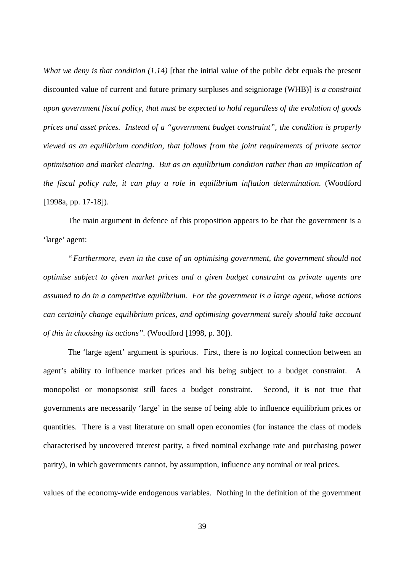*What we deny is that condition (1.14)* [that the initial value of the public debt equals the present discounted value of current and future primary surpluses and seigniorage (WHB)] *is a constraint upon government fiscal policy, that must be expected to hold regardless of the evolution of goods prices and asset prices. Instead of a "government budget constraint", the condition is properly viewed as an equilibrium condition, that follows from the joint requirements of private sector optimisation and market clearing. But as an equilibrium condition rather than an implication of the fiscal policy rule, it can play a role in equilibrium inflation determination*. (Woodford [1998a, pp. 17-18]).

The main argument in defence of this proposition appears to be that the government is a 'large' agent:

*"Furthermore, even in the case of an optimising government, the government should not optimise subject to given market prices and a given budget constraint as private agents are assumed to do in a competitive equilibrium. For the government is a large agent, whose actions can certainly change equilibrium prices, and optimising government surely should take account of this in choosing its actions".* (Woodford [1998, p. 30]).

The 'large agent' argument is spurious. First, there is no logical connection between an agent's ability to influence market prices and his being subject to a budget constraint. A monopolist or monopsonist still faces a budget constraint. Second, it is not true that governments are necessarily 'large' in the sense of being able to influence equilibrium prices or quantities. There is a vast literature on small open economies (for instance the class of models characterised by uncovered interest parity, a fixed nominal exchange rate and purchasing power parity), in which governments cannot, by assumption, influence any nominal or real prices.

values of the economy-wide endogenous variables. Nothing in the definition of the government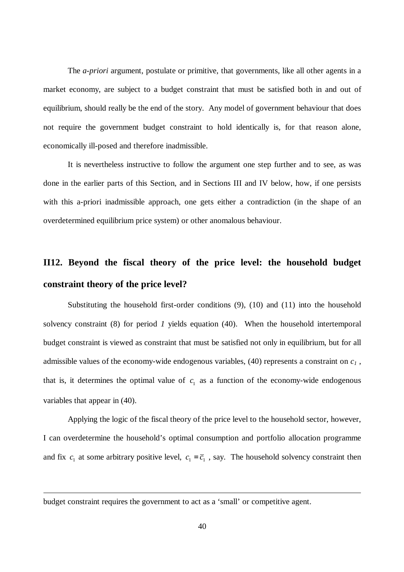The *a-priori* argument, postulate or primitive, that governments, like all other agents in a market economy, are subject to a budget constraint that must be satisfied both in and out of equilibrium, should really be the end of the story. Any model of government behaviour that does not require the government budget constraint to hold identically is, for that reason alone, economically ill-posed and therefore inadmissible.

It is nevertheless instructive to follow the argument one step further and to see, as was done in the earlier parts of this Section, and in Sections III and IV below, how, if one persists with this a-priori inadmissible approach, one gets either a contradiction (in the shape of an overdetermined equilibrium price system) or other anomalous behaviour.

# **II12. Beyond the fiscal theory of the price level: the household budget constraint theory of the price level?**

Substituting the household first-order conditions  $(9)$ ,  $(10)$  and  $(11)$  into the household solvency constraint (8) for period *1* yields equation (40). When the household intertemporal budget constraint is viewed as constraint that must be satisfied not only in equilibrium, but for all admissible values of the economy-wide endogenous variables, (40) represents a constraint on *c<sup>1</sup>* , that is, it determines the optimal value of  $c_1$  as a function of the economy-wide endogenous variables that appear in (40).

Applying the logic of the fiscal theory of the price level to the household sector, however, I can overdetermine the household's optimal consumption and portfolio allocation programme and fix  $c_1$  at some arbitrary positive level,  $c_1 = \overline{c_1}$ , say. The household solvency constraint then

budget constraint requires the government to act as a 'small' or competitive agent.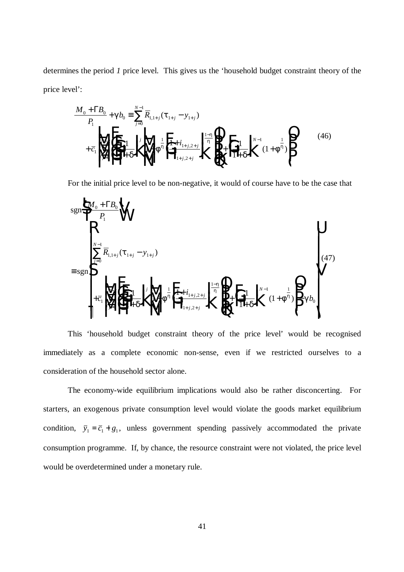determines the period *1* price level. This gives us the 'household budget constraint theory of the price level':

$$
\frac{M_0 + \Gamma B_0}{P_1} + \mathcal{B}_0 = \sum_{j=0}^{N-1} \overline{R}_{1,1+j} (\mathbf{t}_{1+j} - \mathbf{y}_{1+j})
$$
\n
$$
+ \overline{c}_1 \left( \sum_{j=0}^{N-2} \overline{c}_j \right) \left( \prod_{j=0}^{N-1} \frac{1}{\prod_{j=0}^{N}} \right) \left( \prod_{j=0}^{N-1} + \mathbf{f}^{\frac{1}{n}} \right) \left( \prod_{j=0}^{N-1} \frac{1}{\prod_{j=0}^{N}} \right) \left( \prod_{j=0}^{N-1} + \mathbf{f}^{\frac{1}{n}} \right) \left( \prod_{j=0}^{N-1} + \mathbf{f}^{\frac{1}{n}} \right) \left( \prod_{j=0}^{N-1} + \mathbf{f}^{\frac{1}{n}} \right) \left( \prod_{j=0}^{N-1} + \mathbf{f}^{\frac{1}{n}} \right) \left( \prod_{j=0}^{N-1} + \mathbf{f}^{\frac{1}{n}} \right) \left( \prod_{j=0}^{N-1} + \mathbf{f}^{\frac{1}{n}} \right) \left( \prod_{j=0}^{N-1} + \mathbf{f}^{\frac{1}{n}} \right) \left( \prod_{j=0}^{N-1} + \mathbf{f}^{\frac{1}{n}} \right) \left( \prod_{j=0}^{N-1} + \mathbf{f}^{\frac{1}{n}} \right) \left( \prod_{j=0}^{N-1} + \mathbf{f}^{\frac{1}{n}} \right) \left( \prod_{j=0}^{N-1} + \mathbf{f}^{\frac{1}{n}} \right) \left( \prod_{j=0}^{N-1} + \mathbf{f}^{\frac{1}{n}} \right) \left( \prod_{j=0}^{N-1} + \mathbf{f}^{\frac{1}{n}} \right) \left( \prod_{j=0}^{N-1} + \mathbf{f}^{\frac{1}{n}} \right) \left( \prod_{j=0}^{N-1} + \mathbf{f}^{\frac{1}{n}} \right) \left( \prod_{j=0}^{N-1} + \mathbf{f}^{\frac{1}{n}} \right) \left( \prod_{j=0}^{N-1} + \mathbf{f}
$$

For the initial price level to be non-negative, it would of course have to be the case that

sgn sgn ( ) ( ) , , , *M B P R y c i i b j j j j N j j j j j j N N* 0 0 1 1 1 1 1 0 1 1 1 1 2 1 2 1 0 2 1 1 0 1 1 1 1 1 1 1 R <sup>+</sup> S T U V W ≡ − + + F H G I K J <sup>+</sup> F + H G I K J L N M M M O Q P P P F H G G G I K J JJ + + F H G I K J <sup>+</sup> L N M M M O Q P P P − R S | | | | | T | | | | | U V | | | | | W | | | | | + + + = − + + + + − = − − ∑ ∑ Γ *t d f d <sup>h</sup> f g h h h* (47)

This 'household budget constraint theory of the price level' would be recognised immediately as a complete economic non-sense, even if we restricted ourselves to a consideration of the household sector alone.

The economy-wide equilibrium implications would also be rather disconcerting. For starters, an exogenous private consumption level would violate the goods market equilibrium condition,  $\bar{y}_1 = \bar{c}_1 + g_1$ , unless government spending passively accommodated the private consumption programme. If, by chance, the resource constraint were not violated, the price level would be overdetermined under a monetary rule.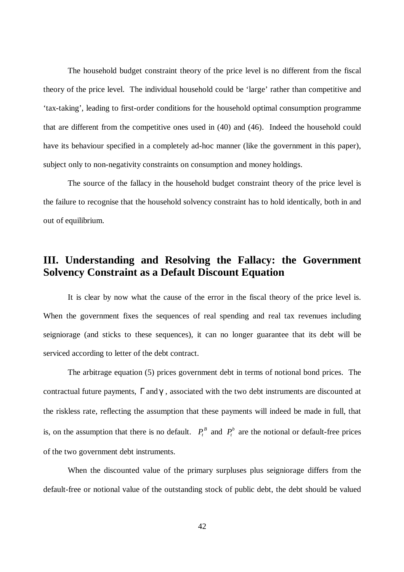The household budget constraint theory of the price level is no different from the fiscal theory of the price level. The individual household could be 'large' rather than competitive and 'tax-taking', leading to first-order conditions for the household optimal consumption programme that are different from the competitive ones used in (40) and (46). Indeed the household could have its behaviour specified in a completely ad-hoc manner (like the government in this paper), subject only to non-negativity constraints on consumption and money holdings.

The source of the fallacy in the household budget constraint theory of the price level is the failure to recognise that the household solvency constraint has to hold identically, both in and out of equilibrium.

# **III. Understanding and Resolving the Fallacy: the Government Solvency Constraint as a Default Discount Equation**

It is clear by now what the cause of the error in the fiscal theory of the price level is. When the government fixes the sequences of real spending and real tax revenues including seigniorage (and sticks to these sequences), it can no longer guarantee that its debt will be serviced according to letter of the debt contract.

The arbitrage equation (5) prices government debt in terms of notional bond prices. The contractual future payments, Γand*g*, associated with the two debt instruments are discounted at the riskless rate, reflecting the assumption that these payments will indeed be made in full, that is, on the assumption that there is no default.  $P_t^B$  and  $P_t^b$  are the notional or default-free prices of the two government debt instruments.

When the discounted value of the primary surpluses plus seigniorage differs from the default-free or notional value of the outstanding stock of public debt, the debt should be valued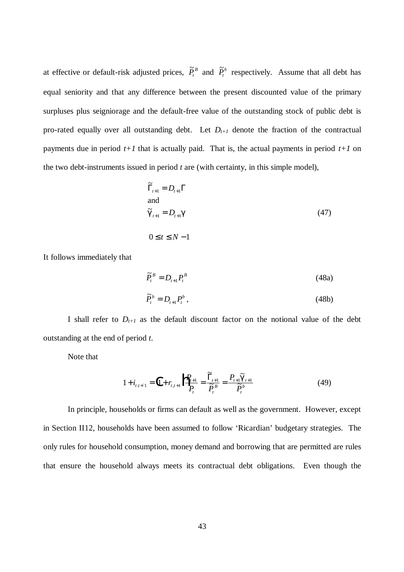at effective or default-risk adjusted prices,  $\tilde{P}^B_t$  and  $\tilde{P}^b_t$  respectively. Assume that all debt has equal seniority and that any difference between the present discounted value of the primary surpluses plus seigniorage and the default-free value of the outstanding stock of public debt is pro-rated equally over all outstanding debt. Let  $D_{t+1}$  denote the fraction of the contractual payments due in period  $t+1$  that is actually paid. That is, the actual payments in period  $t+1$  on the two debt-instruments issued in period *t* are (with certainty, in this simple model),

$$
\widetilde{\Gamma}_{t+1} = D_{t+1} \Gamma
$$
  
and  

$$
\widetilde{\mathbf{g}}_{t+1} = D_{t+1} \mathbf{g}
$$
  

$$
0 \le t \le N - 1
$$
 (47)

It follows immediately that

$$
\widetilde{P}_t^B = D_{t+1} P_t^B
$$
\n(48a)  
\n
$$
\widetilde{P}_t^b = D_{t+1} P_t^b
$$
\n(48b)

$$
\widetilde{P}_t^b = D_{t+1} P_t^b \,, \tag{48b}
$$

I shall refer to  $D_{t+1}$  as the default discount factor on the notional value of the debt outstanding at the end of period *t*.

Note that

$$
1 + i_{t,t+1} = \left(1 + r_{t,t+1}\right) \frac{P_{t+1}}{P_t} = \frac{\widetilde{\Gamma}_{t+1}}{\widetilde{P}_t^B} = \frac{P_{t+1}\widetilde{\mathbf{g}}_{t+1}}{\widetilde{P}_t^b}
$$
(49)

In principle, households or firms can default as well as the government. However, except in Section II12, households have been assumed to follow 'Ricardian' budgetary strategies. The only rules for household consumption, money demand and borrowing that are permitted are rules that ensure the household always meets its contractual debt obligations. Even though the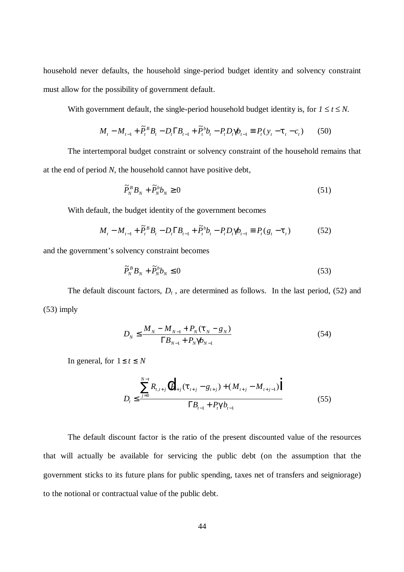household never defaults, the household singe-period budget identity and solvency constraint must allow for the possibility of government default.

With government default, the single-period household budget identity is, for  $1 \le t \le N$ .

$$
M_{t} - M_{t-1} + \tilde{P}_{t}^{B} B_{t} - D_{t} \Gamma B_{t-1} + \tilde{P}_{t}^{b} b_{t} - P_{t} D_{t} \mathbf{g}_{t-1} \equiv P_{t} (y_{t} - \mathbf{t}_{t} - c_{t}) \qquad (50)
$$

The intertemporal budget constraint or solvency constraint of the household remains that at the end of period *N*, the household cannot have positive debt,

$$
\widetilde{P}_N^B B_N + \widetilde{P}_N^b b_N \ge 0 \tag{51}
$$

With default, the budget identity of the government becomes

$$
M_{t} - M_{t-1} + \tilde{P}_{t}^{B} B_{t} - D_{t} \Gamma B_{t-1} + \tilde{P}_{t}^{b} b_{t} - P_{t} D_{t} \mathbf{g}_{t-1} \equiv P_{t} (g_{t} - \mathbf{t}_{t})
$$
(52)

and the government's solvency constraint becomes

$$
\widetilde{P}_N^B B_N + \widetilde{P}_N^b b_N \le 0 \tag{53}
$$

The default discount factors,  $D_t$ , are determined as follows. In the last period, (52) and (53) imply

$$
D_N \le \frac{M_N - M_{N-1} + P_N(t_N - g_N)}{\Gamma B_{N-1} + P_N g_{N-1}}
$$
\n(54)

In general, for  $1 \le t \le N$ 

$$
D_{t} \leq \frac{\sum_{j=0}^{N-t} R_{t,t+j} (l_{t+j} - g_{t+j}) + (M_{t+j} - M_{t+j-1}) \Big|}{\Gamma B_{t-1} + P_{t} \mathbf{g} b_{t-1}}
$$
(55)

The default discount factor is the ratio of the present discounted value of the resources that will actually be available for servicing the public debt (on the assumption that the government sticks to its future plans for public spending, taxes net of transfers and seigniorage) to the notional or contractual value of the public debt.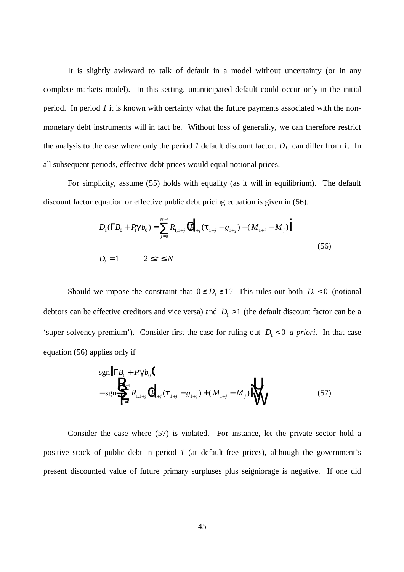It is slightly awkward to talk of default in a model without uncertainty (or in any complete markets model). In this setting, unanticipated default could occur only in the initial period. In period *1* it is known with certainty what the future payments associated with the nonmonetary debt instruments will in fact be. Without loss of generality, we can therefore restrict the analysis to the case where only the period *1* default discount factor, *D1*, can differ from *1*. In all subsequent periods, effective debt prices would equal notional prices.

For simplicity, assume (55) holds with equality (as it will in equilibrium). The default discount factor equation or effective public debt pricing equation is given in (56).

$$
D_{1}(\Gamma B_{0} + P_{1} \mathbf{g} b_{0}) = \sum_{j=0}^{N-1} R_{1,1+j} (P_{1+j}(\mathbf{t}_{1+j} - g_{1+j}) + (M_{1+j} - M_{j}))
$$
  
\n
$$
D_{t} = 1 \qquad 2 \le t \le N
$$
\n(56)

Should we impose the constraint that  $0 \le D_1 \le 1$ ? This rules out both  $D_1 < 0$  (notional debtors can be effective creditors and vice versa) and  $D_1 > 1$  (the default discount factor can be a 'super-solvency premium'). Consider first the case for ruling out  $D_1 < 0$  *a-priori*. In that case equation (56) applies only if

$$
\text{sgn} \left| \Gamma B_0 + P_1 \mathbf{g} b_0 \right|
$$
\n
$$
= \text{sgn} \left\{ \sum_{j=0}^{N-1} R_{1,1+j} \left| P_{1+j} (\mathbf{t}_{1+j} - g_{1+j}) + (M_{1+j} - M_j) \right| \right\}
$$
\n(57)

Consider the case where (57) is violated. For instance, let the private sector hold a positive stock of public debt in period *1* (at default-free prices), although the government's present discounted value of future primary surpluses plus seigniorage is negative. If one did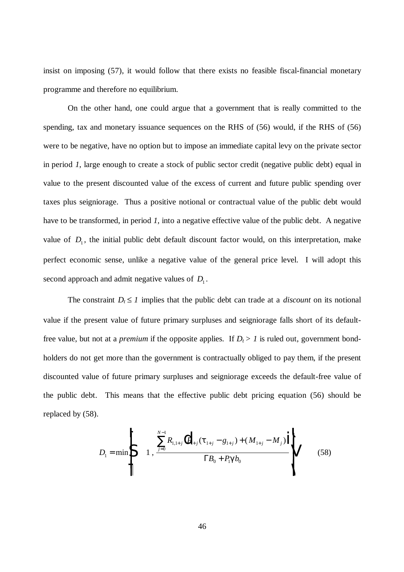insist on imposing (57), it would follow that there exists no feasible fiscal-financial monetary programme and therefore no equilibrium.

On the other hand, one could argue that a government that is really committed to the spending, tax and monetary issuance sequences on the RHS of (56) would, if the RHS of (56) were to be negative, have no option but to impose an immediate capital levy on the private sector in period *1*, large enough to create a stock of public sector credit (negative public debt) equal in value to the present discounted value of the excess of current and future public spending over taxes plus seigniorage. Thus a positive notional or contractual value of the public debt would have to be transformed, in period *1,* into a negative effective value of the public debt. A negative value of  $D_1$ , the initial public debt default discount factor would, on this interpretation, make perfect economic sense, unlike a negative value of the general price level. I will adopt this second approach and admit negative values of  $D_1$ .

The constraint  $D_t \leq 1$  implies that the public debt can trade at a *discount* on its notional value if the present value of future primary surpluses and seigniorage falls short of its defaultfree value, but not at a *premium* if the opposite applies. If  $D_t > 1$  is ruled out, government bondholders do not get more than the government is contractually obliged to pay them, if the present discounted value of future primary surpluses and seigniorage exceeds the default-free value of the public debt. This means that the effective public debt pricing equation (56) should be replaced by (58).

$$
D_{1} = \min \left\{ \sum_{j=0}^{N-1} R_{1,1+j} \left( P_{1+j}(\boldsymbol{t}_{1+j} - g_{1+j}) + (M_{1+j} - M_{j}) \right) \right\}
$$
(58)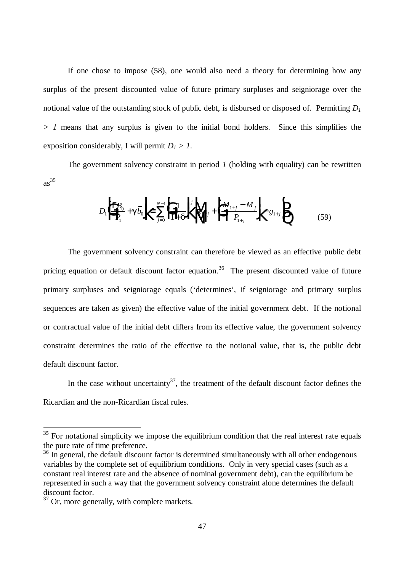If one chose to impose (58), one would also need a theory for determining how any surplus of the present discounted value of future primary surpluses and seigniorage over the notional value of the outstanding stock of public debt, is disbursed or disposed of. Permitting *D<sup>1</sup> > 1* means that any surplus is given to the initial bond holders. Since this simplifies the exposition considerably, I will permit  $D_1 > 1$ .

The government solvency constraint in period *1* (holding with equality) can be rewritten  $as^{35}$ 

$$
D_{1}\left|\prod_{i=1}^{k} \overline{B_{i}}\right| + \mathcal{G}\overline{D_{0}}\sqrt{\sum_{j=0}^{N-1} \left|\prod_{i=1}^{k} \frac{1}{\sigma_{i}}\right|^{j}} \sqrt{\sum_{i+j}^{k} \left|\prod_{i+j}^{k} \frac{M_{i+j} - M_{j}}{P_{i+j}}\right|^{j}} - \mathcal{G}_{i+j}\sqrt{\sum_{i=1}^{k} \frac{1}{\sigma_{i}}}
$$
(59)

The government solvency constraint can therefore be viewed as an effective public debt pricing equation or default discount factor equation.<sup>36</sup> The present discounted value of future primary surpluses and seigniorage equals ('determines', if seigniorage and primary surplus sequences are taken as given) the effective value of the initial government debt. If the notional or contractual value of the initial debt differs from its effective value, the government solvency constraint determines the ratio of the effective to the notional value, that is, the public debt default discount factor.

In the case without uncertainty<sup>37</sup>, the treatment of the default discount factor defines the Ricardian and the non-Ricardian fiscal rules.

 $35$  For notational simplicity we impose the equilibrium condition that the real interest rate equals the pure rate of time preference.

<sup>&</sup>lt;sup>36</sup> In general, the default discount factor is determined simultaneously with all other endogenous variables by the complete set of equilibrium conditions. Only in very special cases (such as a constant real interest rate and the absence of nominal government debt), can the equilibrium be represented in such a way that the government solvency constraint alone determines the default discount factor.

<sup>&</sup>lt;sup>37</sup> Or, more generally, with complete markets.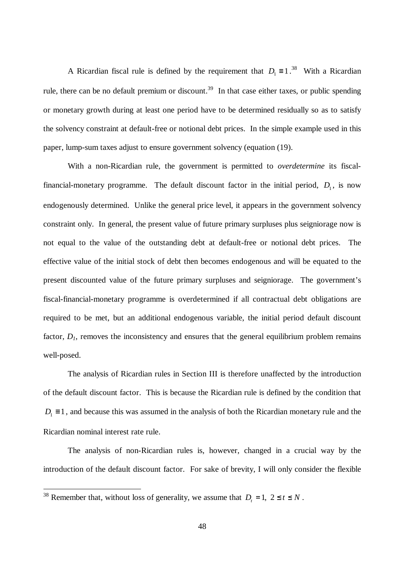A Ricardian fiscal rule is defined by the requirement that  $D_1 \equiv 1.^{38}$  With a Ricardian rule, there can be no default premium or discount.<sup>39</sup> In that case either taxes, or public spending or monetary growth during at least one period have to be determined residually so as to satisfy the solvency constraint at default-free or notional debt prices. In the simple example used in this paper, lump-sum taxes adjust to ensure government solvency (equation (19).

With a non-Ricardian rule, the government is permitted to *overdetermine* its fiscalfinancial-monetary programme. The default discount factor in the initial period,  $D_1$ , is now endogenously determined. Unlike the general price level, it appears in the government solvency constraint only. In general, the present value of future primary surpluses plus seigniorage now is not equal to the value of the outstanding debt at default-free or notional debt prices. The effective value of the initial stock of debt then becomes endogenous and will be equated to the present discounted value of the future primary surpluses and seigniorage. The government's fiscal-financial-monetary programme is overdetermined if all contractual debt obligations are required to be met, but an additional endogenous variable, the initial period default discount factor,  $D<sub>I</sub>$ , removes the inconsistency and ensures that the general equilibrium problem remains well-posed.

The analysis of Ricardian rules in Section III is therefore unaffected by the introduction of the default discount factor. This is because the Ricardian rule is defined by the condition that  $D_1 \equiv 1$ , and because this was assumed in the analysis of both the Ricardian monetary rule and the Ricardian nominal interest rate rule.

The analysis of non-Ricardian rules is, however, changed in a crucial way by the introduction of the default discount factor. For sake of brevity, I will only consider the flexible

<sup>&</sup>lt;sup>38</sup> Remember that, without loss of generality, we assume that  $D_t = 1$ ,  $2 \le t \le N$ .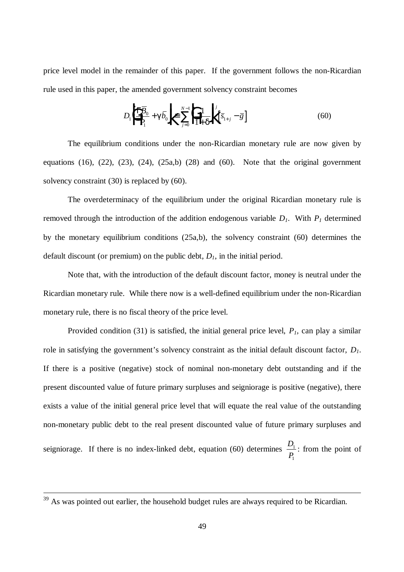price level model in the remainder of this paper. If the government follows the non-Ricardian rule used in this paper, the amended government solvency constraint becomes

$$
D_1 \left| \frac{\partial \Gamma \overline{B}_0}{P_1} + \mathbf{g} \overline{b}_0 \right| \le \sum_{j=0}^{N-1} \left| \frac{1}{1 + \mathbf{g}} \right|^j \left[ \overline{s}_{1+j} - \overline{g} \right]
$$
(60)

The equilibrium conditions under the non-Ricardian monetary rule are now given by equations  $(16)$ ,  $(22)$ ,  $(23)$ ,  $(24)$ ,  $(25a,b)$   $(28)$  and  $(60)$ . Note that the original government solvency constraint (30) is replaced by (60).

The overdeterminacy of the equilibrium under the original Ricardian monetary rule is removed through the introduction of the addition endogenous variable *D1*. With *P1* determined by the monetary equilibrium conditions (25a,b), the solvency constraint (60) determines the default discount (or premium) on the public debt,  $D<sub>I</sub>$ , in the initial period.

Note that, with the introduction of the default discount factor, money is neutral under the Ricardian monetary rule. While there now is a well-defined equilibrium under the non-Ricardian monetary rule, there is no fiscal theory of the price level.

Provided condition (31) is satisfied, the initial general price level, *P1,* can play a similar role in satisfying the government's solvency constraint as the initial default discount factor, *D1*. If there is a positive (negative) stock of nominal non-monetary debt outstanding and if the present discounted value of future primary surpluses and seigniorage is positive (negative), there exists a value of the initial general price level that will equate the real value of the outstanding non-monetary public debt to the real present discounted value of future primary surpluses and seigniorage. If there is no index-linked debt, equation (60) determines *<sup>D</sup> P* 1 1 : from the point of

 $39$  As was pointed out earlier, the household budget rules are always required to be Ricardian.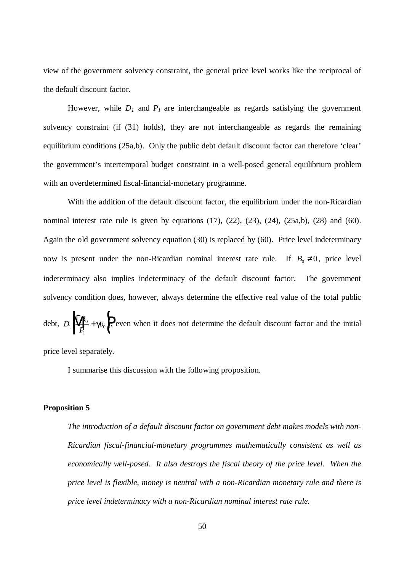view of the government solvency constraint, the general price level works like the reciprocal of the default discount factor.

However, while  $D_I$  and  $P_I$  are interchangeable as regards satisfying the government solvency constraint (if (31) holds), they are not interchangeable as regards the remaining equilibrium conditions (25a,b). Only the public debt default discount factor can therefore 'clear' the government's intertemporal budget constraint in a well-posed general equilibrium problem with an overdetermined fiscal-financial-monetary programme.

With the addition of the default discount factor, the equilibrium under the non-Ricardian nominal interest rate rule is given by equations  $(17)$ ,  $(22)$ ,  $(23)$ ,  $(24)$ ,  $(25a,b)$ ,  $(28)$  and  $(60)$ . Again the old government solvency equation (30) is replaced by (60). Price level indeterminacy now is present under the non-Ricardian nominal interest rate rule. If  $B_0 \neq 0$ , price level indeterminacy also implies indeterminacy of the default discount factor. The government solvency condition does, however, always determine the effective real value of the total public

debt,  $D_1 \sqrt{\frac{\Gamma B}{D}}$  $P_1 \parallel P_0 + B_0$ 1  $\overline{0}$  $\sqrt{\frac{\Gamma B_0}{\Gamma}}$ + N M O Q  $\mathcal{B}_0$ , even when it does not determine the default discount factor and the initial

price level separately.

I summarise this discussion with the following proposition.

#### **Proposition 5**

*The introduction of a default discount factor on government debt makes models with non-Ricardian fiscal-financial-monetary programmes mathematically consistent as well as economically well-posed. It also destroys the fiscal theory of the price level. When the price level is flexible, money is neutral with a non-Ricardian monetary rule and there is price level indeterminacy with a non-Ricardian nominal interest rate rule.*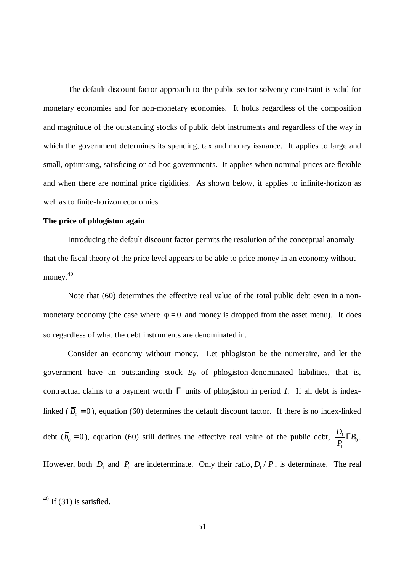The default discount factor approach to the public sector solvency constraint is valid for monetary economies and for non-monetary economies. It holds regardless of the composition and magnitude of the outstanding stocks of public debt instruments and regardless of the way in which the government determines its spending, tax and money issuance. It applies to large and small, optimising, satisficing or ad-hoc governments. It applies when nominal prices are flexible and when there are nominal price rigidities. As shown below, it applies to infinite-horizon as well as to finite-horizon economies.

#### **The price of phlogiston again**

Introducing the default discount factor permits the resolution of the conceptual anomaly that the fiscal theory of the price level appears to be able to price money in an economy without money.<sup>40</sup>

Note that (60) determines the effective real value of the total public debt even in a nonmonetary economy (the case where  $f=0$  and money is dropped from the asset menu). It does so regardless of what the debt instruments are denominated in.

Consider an economy without money. Let phlogiston be the numeraire, and let the government have an outstanding stock  $B_0$  of phlogiston-denominated liabilities, that is, contractual claims to a payment worth  $\Gamma$  units of phlogiston in period *1*. If all debt is indexlinked ( $\overline{B}_0 = 0$ ), equation (60) determines the default discount factor. If there is no index-linked debt ( $b_0 = 0$ ), equation (60) still defines the effective real value of the public debt,  $\frac{D}{P_1}$  $\frac{1}{\cdot} \Gamma \overline{B}$ 1  $\Gamma\overline B_0$  . However, both  $D_1$  and  $P_1$  are indeterminate. Only their ratio,  $D_1 / P_1$ , is determinate. The real

 $40$  If (31) is satisfied.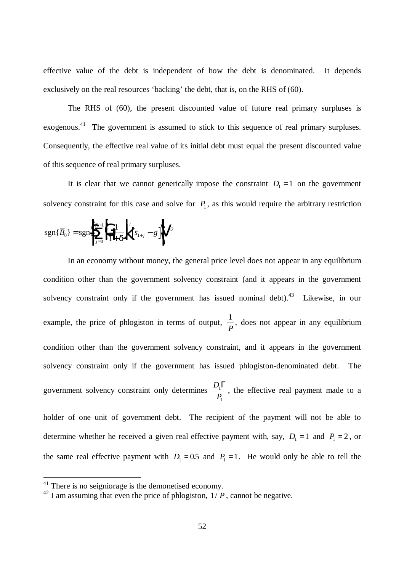effective value of the debt is independent of how the debt is denominated. It depends exclusively on the real resources 'backing' the debt, that is, on the RHS of (60).

The RHS of (60), the present discounted value of future real primary surpluses is exogenous.<sup>41</sup> The government is assumed to stick to this sequence of real primary surpluses. Consequently, the effective real value of its initial debt must equal the present discounted value of this sequence of real primary surpluses.

It is clear that we cannot generically impose the constraint  $D_1 = 1$  on the government solvency constraint for this case and solve for  $P_1$ , as this would require the arbitrary restriction

$$
sgn\{\overline{B}_0\} = sgn\left\{\sum_{j=0}^{N-1} \left[\frac{1}{|{\bf x}| + {\bf C}^j|}\right]^j \left[\overline{s}_{1+j} - \overline{g}\right]\right\}^{42}
$$

In an economy without money, the general price level does not appear in any equilibrium condition other than the government solvency constraint (and it appears in the government solvency constraint only if the government has issued nominal debt).<sup>43</sup> Likewise, in our example, the price of phlogiston in terms of output,  $\frac{1}{2}$ *P* , does not appear in any equilibrium condition other than the government solvency constraint, and it appears in the government solvency constraint only if the government has issued phlogiston-denominated debt. The government solvency constraint only determines *<sup>D</sup> P* 1 1  $\Gamma$ , the effective real payment made to a holder of one unit of government debt. The recipient of the payment will not be able to determine whether he received a given real effective payment with, say,  $D_1 = 1$  and  $P_1 = 2$ , or the same real effective payment with  $D_1 = 0.5$  and  $P_1 = 1$ . He would only be able to tell the

 $41$  There is no seigniorage is the demonetised economy.

 $^{42}$  I am assuming that even the price of phlogiston,  $1/P$ , cannot be negative.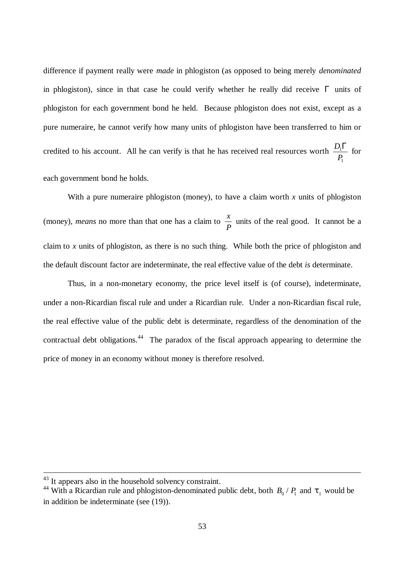difference if payment really were *made* in phlogiston (as opposed to being merely *denominated* in phlogiston), since in that case he could verify whether he really did receive  $\Gamma$  units of phlogiston for each government bond he held. Because phlogiston does not exist, except as a pure numeraire, he cannot verify how many units of phlogiston have been transferred to him or credited to his account. All he can verify is that he has received real resources worth *<sup>D</sup> P* 1 1  $\frac{\Gamma}{\Gamma}$  for each government bond he holds.

With a pure numeraire phlogiston (money), to have a claim worth  $x$  units of phlogiston (money), *means* no more than that one has a claim to  $\frac{x}{x}$ *P* units of the real good. It cannot be a claim to *x* units of phlogiston, as there is no such thing. While both the price of phlogiston and the default discount factor are indeterminate, the real effective value of the debt *is* determinate.

Thus, in a non-monetary economy, the price level itself is (of course), indeterminate, under a non-Ricardian fiscal rule and under a Ricardian rule. Under a non-Ricardian fiscal rule, the real effective value of the public debt is determinate, regardless of the denomination of the contractual debt obligations.<sup>44</sup> The paradox of the fiscal approach appearing to determine the price of money in an economy without money is therefore resolved.

 $43$  It appears also in the household solvency constraint.

<sup>&</sup>lt;sup>44</sup> With a Ricardian rule and phlogiston-denominated public debt, both  $B_0 / P_1$  and  $t_1$  would be in addition be indeterminate (see (19)).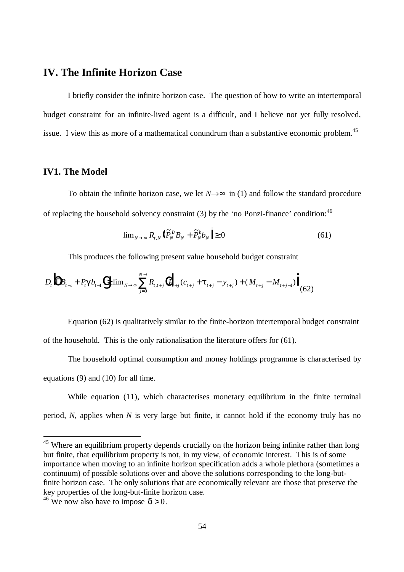## **IV. The Infinite Horizon Case**

I briefly consider the infinite horizon case. The question of how to write an intertemporal budget constraint for an infinite-lived agent is a difficult, and I believe not yet fully resolved, issue. I view this as more of a mathematical conundrum than a substantive economic problem.<sup>45</sup>

## **IV1. The Model**

To obtain the infinite horizon case, we let  $N \rightarrow \mathbf{F}$  in (1) and follow the standard procedure of replacing the household solvency constraint  $(3)$  by the 'no Ponzi-finance' condition:<sup>46</sup>

$$
\lim_{N \to \infty} R_{t,N} \left( \frac{\partial \widetilde{P}_N^B}{\partial N} B_N + \widetilde{P}_N^b b_N \right) \ge 0 \tag{61}
$$

This produces the following present value household budget constraint

$$
D_{t} \left\| \Gamma B_{t-1} + P_{t} \mathbf{g} b_{t-1} \right\| \geq \lim_{N \to \infty} \sum_{j=0}^{N-t} R_{t,t+j} \left\| P_{t+j} (c_{t+j} + \mathbf{t}_{t+j} - y_{t+j}) + (M_{t+j} - M_{t+j-1}) \right\| \tag{62}
$$

Equation (62) is qualitatively similar to the finite-horizon intertemporal budget constraint of the household. This is the only rationalisation the literature offers for (61).

The household optimal consumption and money holdings programme is characterised by equations (9) and (10) for all time.

While equation (11), which characterises monetary equilibrium in the finite terminal period, *N*, applies when *N* is very large but finite, it cannot hold if the economy truly has no

 $45$  Where an equilibrium property depends crucially on the horizon being infinite rather than long but finite, that equilibrium property is not, in my view, of economic interest. This is of some importance when moving to an infinite horizon specification adds a whole plethora (sometimes a continuum) of possible solutions over and above the solutions corresponding to the long-butfinite horizon case. The only solutions that are economically relevant are those that preserve the key properties of the long-but-finite horizon case.

<sup>&</sup>lt;sup>46</sup> We now also have to impose  $\mathbf{a} > 0$ .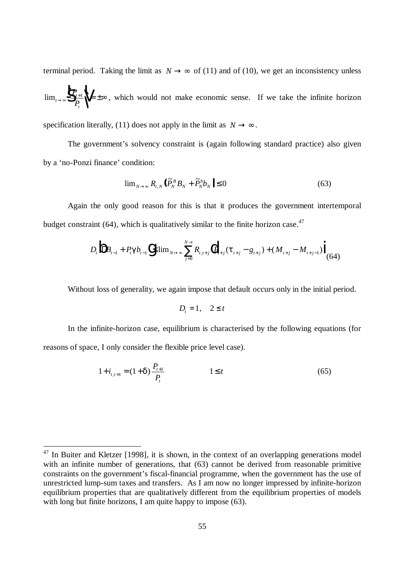terminal period. Taking the limit as  $N \rightarrow \infty$  of (11) and of (10), we get an inconsistency unless

 $\lim_{t\to\infty}\sqrt[3]{\frac{P_t}{P_t}}$ *t*  $\lim_{x\to\infty} \left\| \frac{P_{t+1}}{P_t} \right\|_1 = \pm \infty$ , which would not make economic sense. If we take the infinite horizon R Š<br>P T U V

specification literally, (11) does not apply in the limit as  $N \rightarrow \infty$ .

The government's solvency constraint is (again following standard practice) also given by a 'no-Ponzi finance' condition:

$$
\lim_{N \to \infty} R_{t,N} \left( \frac{\partial \widetilde{P}_N^B}{\partial N} B_N + \widetilde{P}_N^b b_N \right) \le 0 \tag{63}
$$

Again the only good reason for this is that it produces the government intertemporal budget constraint  $(64)$ , which is qualitatively similar to the finite horizon case.<sup>47</sup>

$$
D_{t} \left\| \Gamma B_{t-1} + P_{t} \mathbf{g} b_{t-1} \right\| \leq \lim_{N \to \infty} \sum_{j=0}^{N-t} R_{t,t+j} \left\| P_{t+j} (\mathbf{t}_{t+j} - g_{t+j}) + (M_{t+j} - M_{t+j-1}) \right\|_{(64)}
$$

Without loss of generality, we again impose that default occurs only in the initial period.

$$
D_t = 1, \quad 2 \leq t
$$

In the infinite-horizon case, equilibrium is characterised by the following equations (for reasons of space, I only consider the flexible price level case).

$$
1 + i_{t,t+1} = (1 + \mathbf{c} \mathbf{b} \frac{P_{t+1}}{P_t} \qquad 1 \le t \qquad (65)
$$

 $47$  In Buiter and Kletzer [1998], it is shown, in the context of an overlapping generations model with an infinite number of generations, that (63) cannot be derived from reasonable primitive constraints on the government's fiscal-financial programme, when the government has the use of unrestricted lump-sum taxes and transfers. As I am now no longer impressed by infinite-horizon equilibrium properties that are qualitatively different from the equilibrium properties of models with long but finite horizons, I am quite happy to impose (63).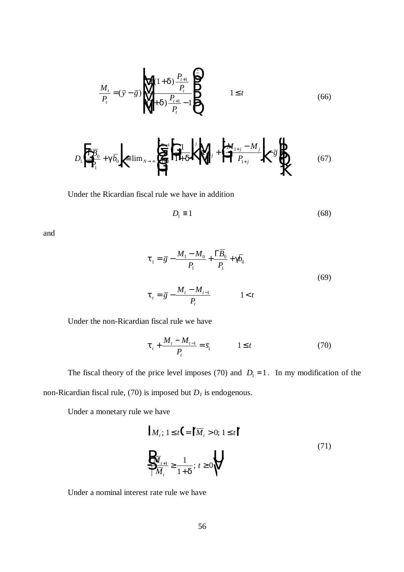$$
\frac{M_t}{P_t} = (\bar{y} - \bar{g}) \sqrt{\frac{f(1 + d) \frac{P_{t+1}}{P_t}}{(1 + d) \frac{P_{t+1}}{P_t} - 1 \beta}} \qquad 1 \le t
$$
\n(66)

$$
D_{1}\left|\frac{\Gamma\overline{B}_{0}}{P_{1}}+\mathbf{g}\overline{b}_{0}\right|\right| \equiv \lim_{N \to \infty} \left|\frac{\Gamma_{N-1}}{N}\left|\frac{1}{N+G_{0}}\right|\right|^{N} + \left|\frac{1}{N}\left|\frac{M_{1+j}-M_{j}}{P_{1+j}}\right|\right|^{N} - \mathbf{g}_{N}^{N}\right|
$$
(67)

Under the Ricardian fiscal rule we have in addition

$$
D_1 \equiv 1 \tag{68}
$$

and

$$
t_{1} = \overline{g} - \frac{M_{1} - M_{0}}{P_{1}} + \frac{\Gamma B_{0}}{P_{1}} + \cancel{g}_{0}
$$
  

$$
t_{t} = \overline{g} - \frac{M_{t} - M_{t-1}}{P_{t}} \qquad 1 < t
$$
 (69)

Under the non-Ricardian fiscal rule we have

$$
\boldsymbol{t}_{t} + \frac{M_{t} - M_{t-1}}{P_{t}} = \bar{s}_{t} \qquad \qquad 1 \leq t \tag{70}
$$

The fiscal theory of the price level imposes (70) and  $D_1 = 1$ . In my modification of the non-Ricardian fiscal rule, (70) is imposed but *D1* is endogenous.

Under a monetary rule we have

$$
| M_{t}; 1 \leq t \Big| = \Big| \overline{M}_{t} > 0; 1 \leq t \Big|
$$
  

$$
\frac{1}{2} \frac{\overline{M}_{t+1}}{\overline{M}_{t}} \geq \frac{1}{1 + \overline{d}}; t \geq 0 \Big| \Big| \tag{71}
$$

Under a nominal interest rate rule we have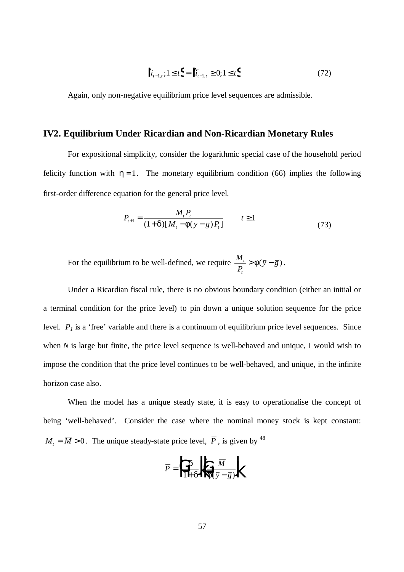$$
\|\dot{t}_{t-1,t}\,;\,1\leq t\big\} = \|\bar{t}_{t-1,t}\geq 0;1\leq t\big\}\tag{72}
$$

Again, only non-negative equilibrium price level sequences are admissible.

#### **IV2. Equilibrium Under Ricardian and Non-Ricardian Monetary Rules**

For expositional simplicity, consider the logarithmic special case of the household period felicity function with  $h = 1$ . The monetary equilibrium condition (66) implies the following first-order difference equation for the general price level.

$$
P_{t+1} = \frac{M_t P_t}{\left(1 + \mathbf{c} \mathbf{J} \left[ M_t - \mathbf{f} \left( \overline{y} - \overline{g} \right) P_t \right]} \qquad t \ge 1 \tag{73}
$$

For the equilibrium to be well-defined, we require *<sup>M</sup> P*  $\frac{t}{g} > \mathbf{f}(\bar{y} - \bar{g})$ *t*  $> f(\bar{y} - \bar{g}).$ 

Under a Ricardian fiscal rule, there is no obvious boundary condition (either an initial or a terminal condition for the price level) to pin down a unique solution sequence for the price level.  $P<sub>1</sub>$  is a 'free' variable and there is a continuum of equilibrium price level sequences. Since when *N* is large but finite, the price level sequence is well-behaved and unique, I would wish to impose the condition that the price level continues to be well-behaved, and unique, in the infinite horizon case also.

When the model has a unique steady state, it is easy to operationalise the concept of being 'well-behaved'. Consider the case where the nominal money stock is kept constant:  $M_t = \overline{M} > 0$ . The unique steady-state price level,  $\overline{P}$ , is given by <sup>48</sup>

$$
\overline{P} = \left| \iint_{\mathbb{I} + \mathbf{G}} \frac{d}{\mathbf{F}(\overline{y} - \overline{g})} \right|
$$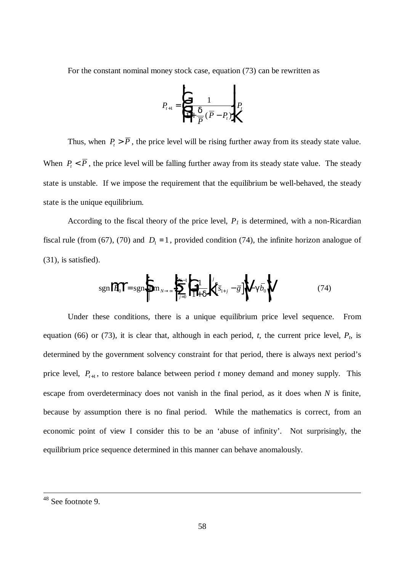For the constant nominal money stock case, equation (73) can be rewritten as

$$
P_{t+1} = \begin{vmatrix} \frac{1}{\rho} & 1 & \frac{1}{\rho} \\ \frac{1}{\rho} & \frac{1}{\rho} & \frac{1}{\rho} & \frac{1}{\rho} \end{vmatrix} P_t
$$

Thus, when  $P_t > \overline{P}$ , the price level will be rising further away from its steady state value. When  $P_{t}$  <  $\overline{P}$ , the price level will be falling further away from its steady state value. The steady state is unstable. If we impose the requirement that the equilibrium be well-behaved, the steady state is the unique equilibrium.

According to the fiscal theory of the price level,  $P<sub>I</sub>$  is determined, with a non-Ricardian fiscal rule (from (67), (70) and  $D_1 = 1$ , provided condition (74), the infinite horizon analogue of (31), is satisfied).

$$
sgn\left\|\overline{B}_{0}\right\| = sgn\left\{\lim_{N \to \infty} \sum_{j=0}^{N-1} \left[\frac{1}{1+\mathbf{C}}\right]^{j} \left[\overline{s}_{1+j} - \overline{g}\right]^{j} \right\| - \mathbf{S}_{0} \tag{74}
$$

Under these conditions, there is a unique equilibrium price level sequence. From equation (66) or (73), it is clear that, although in each period,  $t$ , the current price level,  $P_t$ , is determined by the government solvency constraint for that period, there is always next period's price level,  $P_{t+1}$ , to restore balance between period *t* money demand and money supply. This escape from overdeterminacy does not vanish in the final period, as it does when *N* is finite, because by assumption there is no final period. While the mathematics is correct, from an economic point of view I consider this to be an 'abuse of infinity'. Not surprisingly, the equilibrium price sequence determined in this manner can behave anomalously.

<sup>&</sup>lt;sup>48</sup> See footnote 9.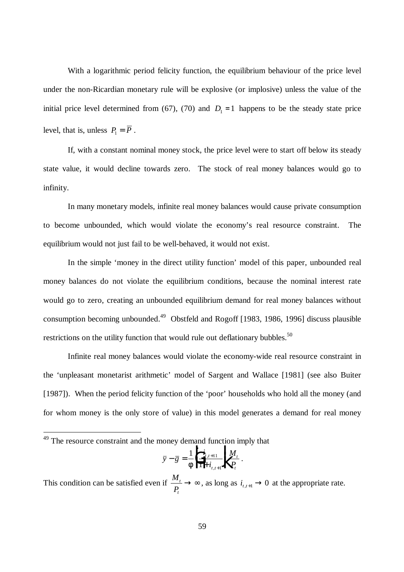With a logarithmic period felicity function, the equilibrium behaviour of the price level under the non-Ricardian monetary rule will be explosive (or implosive) unless the value of the initial price level determined from (67), (70) and  $D_1 = 1$  happens to be the steady state price level, that is, unless  $P_1 = \overline{P}$ .

If, with a constant nominal money stock, the price level were to start off below its steady state value, it would decline towards zero. The stock of real money balances would go to infinity.

In many monetary models, infinite real money balances would cause private consumption to become unbounded, which would violate the economy's real resource constraint. The equilibrium would not just fail to be well-behaved, it would not exist.

In the simple 'money in the direct utility function' model of this paper, unbounded real money balances do not violate the equilibrium conditions, because the nominal interest rate would go to zero, creating an unbounded equilibrium demand for real money balances without consumption becoming unbounded.<sup>49</sup> Obstfeld and Rogoff [1983, 1986, 1996] discuss plausible restrictions on the utility function that would rule out deflationary bubbles. $50$ 

Infinite real money balances would violate the economy-wide real resource constraint in the 'unpleasant monetarist arithmetic' model of Sargent and Wallace [1981] (see also Buiter [1987]). When the period felicity function of the 'poor' households who hold all the money (and for whom money is the only store of value) in this model generates a demand for real money

 $\overline{a}$ 

$$
\overline{y} - \overline{g} = \frac{1}{f} \left| \frac{i_{t,t+1}}{1 + i_{t,t+1}} \right| \left| \frac{M_t}{P_t} \right|.
$$

This condition can be satisfied even if *<sup>M</sup> P t t*  $\rightarrow \infty$ , as long as  $i_{t,t+1} \rightarrow 0$  at the appropriate rate.

 $49$  The resource constraint and the money demand function imply that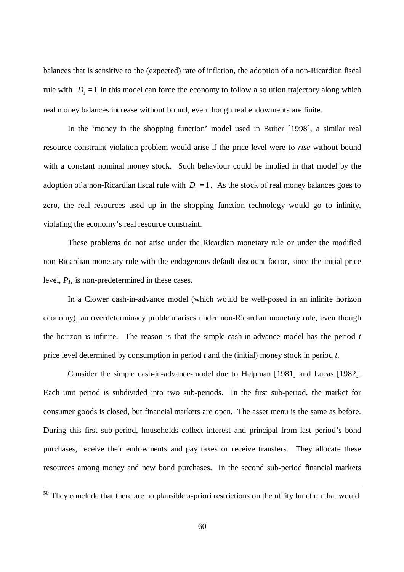balances that is sensitive to the (expected) rate of inflation, the adoption of a non-Ricardian fiscal rule with  $D_1 = 1$  in this model can force the economy to follow a solution trajectory along which real money balances increase without bound, even though real endowments are finite.

In the 'money in the shopping function' model used in Buiter [1998], a similar real resource constraint violation problem would arise if the price level were to *rise* without bound with a constant nominal money stock. Such behaviour could be implied in that model by the adoption of a non-Ricardian fiscal rule with  $D_1 = 1$ . As the stock of real money balances goes to zero, the real resources used up in the shopping function technology would go to infinity, violating the economy's real resource constraint.

These problems do not arise under the Ricardian monetary rule or under the modified non-Ricardian monetary rule with the endogenous default discount factor, since the initial price level, *P1,* is non-predetermined in these cases.

In a Clower cash-in-advance model (which would be well-posed in an infinite horizon economy), an overdeterminacy problem arises under non-Ricardian monetary rule, even though the horizon is infinite. The reason is that the simple-cash-in-advance model has the period *t* price level determined by consumption in period *t* and the (initial) money stock in period *t*.

Consider the simple cash-in-advance-model due to Helpman [1981] and Lucas [1982]. Each unit period is subdivided into two sub-periods. In the first sub-period, the market for consumer goods is closed, but financial markets are open. The asset menu is the same as before. During this first sub-period, households collect interest and principal from last period's bond purchases, receive their endowments and pay taxes or receive transfers. They allocate these resources among money and new bond purchases. In the second sub-period financial markets

 $50$  They conclude that there are no plausible a-priori restrictions on the utility function that would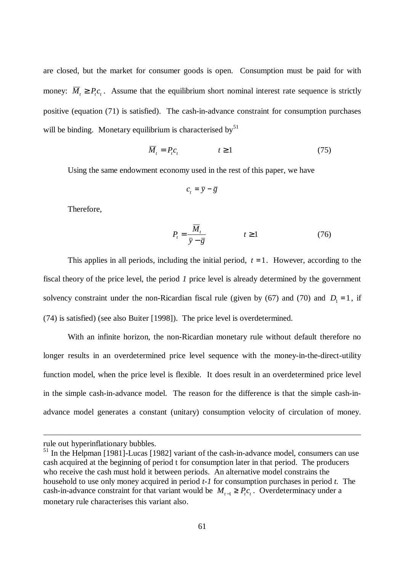are closed, but the market for consumer goods is open. Consumption must be paid for with money:  $\overline{M}_t \ge P_t c_t$ . Assume that the equilibrium short nominal interest rate sequence is strictly positive (equation (71) is satisfied). The cash-in-advance constraint for consumption purchases will be binding. Monetary equilibrium is characterised by $51$ 

$$
\overline{M}_t = P_t c_t \qquad \qquad t \ge 1 \tag{75}
$$

Using the same endowment economy used in the rest of this paper, we have

$$
c_t = \overline{y} - \overline{g}
$$

Therefore,

$$
P_t = \frac{\overline{M}_t}{\overline{y} - \overline{g}} \qquad \qquad t \ge 1 \tag{76}
$$

This applies in all periods, including the initial period,  $t = 1$ . However, according to the fiscal theory of the price level, the period *1* price level is already determined by the government solvency constraint under the non-Ricardian fiscal rule (given by (67) and (70) and  $D_1 = 1$ , if (74) is satisfied) (see also Buiter [1998]). The price level is overdetermined.

With an infinite horizon, the non-Ricardian monetary rule without default therefore no longer results in an overdetermined price level sequence with the money-in-the-direct-utility function model, when the price level is flexible. It does result in an overdetermined price level in the simple cash-in-advance model. The reason for the difference is that the simple cash-inadvance model generates a constant (unitary) consumption velocity of circulation of money.

rule out hyperinflationary bubbles.

 $<sup>51</sup>$  In the Helpman [1981]-Lucas [1982] variant of the cash-in-advance model, consumers can use</sup> cash acquired at the beginning of period t for consumption later in that period. The producers who receive the cash must hold it between periods. An alternative model constrains the household to use only money acquired in period *t-1* for consumption purchases in period *t.* The cash-in-advance constraint for that variant would be  $M_{t-1} \ge P_t c_t$ . Overdeterminacy under a monetary rule characterises this variant also.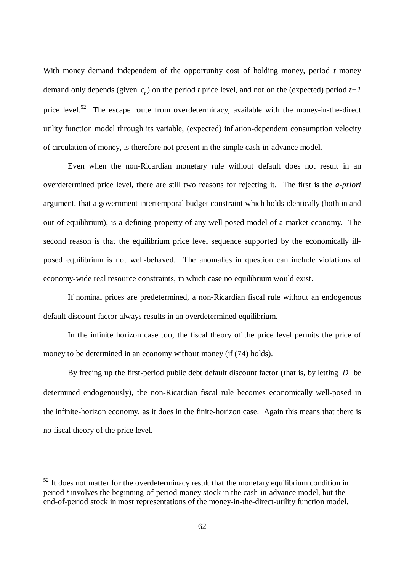With money demand independent of the opportunity cost of holding money, period *t* money demand only depends (given  $c<sub>t</sub>$ ) on the period *t* price level, and not on the (expected) period  $t+1$ price level.<sup>52</sup> The escape route from overdeterminacy, available with the money-in-the-direct utility function model through its variable, (expected) inflation-dependent consumption velocity of circulation of money, is therefore not present in the simple cash-in-advance model.

Even when the non-Ricardian monetary rule without default does not result in an overdetermined price level, there are still two reasons for rejecting it. The first is the *a-priori* argument, that a government intertemporal budget constraint which holds identically (both in and out of equilibrium), is a defining property of any well-posed model of a market economy. The second reason is that the equilibrium price level sequence supported by the economically illposed equilibrium is not well-behaved. The anomalies in question can include violations of economy-wide real resource constraints, in which case no equilibrium would exist.

If nominal prices are predetermined, a non-Ricardian fiscal rule without an endogenous default discount factor always results in an overdetermined equilibrium.

In the infinite horizon case too, the fiscal theory of the price level permits the price of money to be determined in an economy without money (if (74) holds).

By freeing up the first-period public debt default discount factor (that is, by letting  $D_1$  be determined endogenously), the non-Ricardian fiscal rule becomes economically well-posed in the infinite-horizon economy, as it does in the finite-horizon case. Again this means that there is no fiscal theory of the price level.

 $52$  It does not matter for the overdeterminacy result that the monetary equilibrium condition in period *t* involves the beginning-of-period money stock in the cash-in-advance model, but the end-of-period stock in most representations of the money-in-the-direct-utility function model.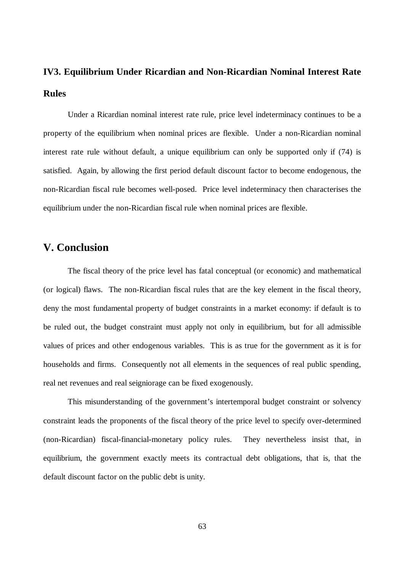# **IV3. Equilibrium Under Ricardian and Non-Ricardian Nominal Interest Rate Rules**

Under a Ricardian nominal interest rate rule, price level indeterminacy continues to be a property of the equilibrium when nominal prices are flexible. Under a non-Ricardian nominal interest rate rule without default, a unique equilibrium can only be supported only if (74) is satisfied. Again, by allowing the first period default discount factor to become endogenous, the non-Ricardian fiscal rule becomes well-posed. Price level indeterminacy then characterises the equilibrium under the non-Ricardian fiscal rule when nominal prices are flexible.

## **V. Conclusion**

The fiscal theory of the price level has fatal conceptual (or economic) and mathematical (or logical) flaws. The non-Ricardian fiscal rules that are the key element in the fiscal theory, deny the most fundamental property of budget constraints in a market economy: if default is to be ruled out, the budget constraint must apply not only in equilibrium, but for all admissible values of prices and other endogenous variables. This is as true for the government as it is for households and firms. Consequently not all elements in the sequences of real public spending, real net revenues and real seigniorage can be fixed exogenously.

This misunderstanding of the government's intertemporal budget constraint or solvency constraint leads the proponents of the fiscal theory of the price level to specify over-determined (non-Ricardian) fiscal-financial-monetary policy rules. They nevertheless insist that, in equilibrium, the government exactly meets its contractual debt obligations, that is, that the default discount factor on the public debt is unity.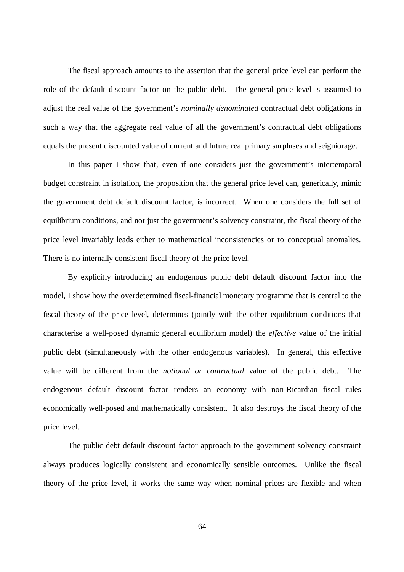The fiscal approach amounts to the assertion that the general price level can perform the role of the default discount factor on the public debt. The general price level is assumed to adjust the real value of the government's *nominally denominated* contractual debt obligations in such a way that the aggregate real value of all the government's contractual debt obligations equals the present discounted value of current and future real primary surpluses and seigniorage.

In this paper I show that, even if one considers just the government's intertemporal budget constraint in isolation, the proposition that the general price level can, generically, mimic the government debt default discount factor, is incorrect. When one considers the full set of equilibrium conditions, and not just the government's solvency constraint, the fiscal theory of the price level invariably leads either to mathematical inconsistencies or to conceptual anomalies. There is no internally consistent fiscal theory of the price level.

By explicitly introducing an endogenous public debt default discount factor into the model, I show how the overdetermined fiscal-financial monetary programme that is central to the fiscal theory of the price level, determines (jointly with the other equilibrium conditions that characterise a well-posed dynamic general equilibrium model) the *effective* value of the initial public debt (simultaneously with the other endogenous variables). In general, this effective value will be different from the *notional or contractual* value of the public debt. The endogenous default discount factor renders an economy with non-Ricardian fiscal rules economically well-posed and mathematically consistent. It also destroys the fiscal theory of the price level.

The public debt default discount factor approach to the government solvency constraint always produces logically consistent and economically sensible outcomes. Unlike the fiscal theory of the price level, it works the same way when nominal prices are flexible and when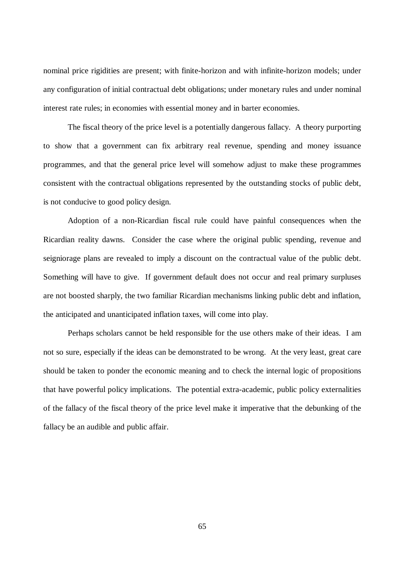nominal price rigidities are present; with finite-horizon and with infinite-horizon models; under any configuration of initial contractual debt obligations; under monetary rules and under nominal interest rate rules; in economies with essential money and in barter economies.

The fiscal theory of the price level is a potentially dangerous fallacy. A theory purporting to show that a government can fix arbitrary real revenue, spending and money issuance programmes, and that the general price level will somehow adjust to make these programmes consistent with the contractual obligations represented by the outstanding stocks of public debt, is not conducive to good policy design.

Adoption of a non-Ricardian fiscal rule could have painful consequences when the Ricardian reality dawns. Consider the case where the original public spending, revenue and seigniorage plans are revealed to imply a discount on the contractual value of the public debt. Something will have to give. If government default does not occur and real primary surpluses are not boosted sharply, the two familiar Ricardian mechanisms linking public debt and inflation, the anticipated and unanticipated inflation taxes, will come into play.

Perhaps scholars cannot be held responsible for the use others make of their ideas. I am not so sure, especially if the ideas can be demonstrated to be wrong. At the very least, great care should be taken to ponder the economic meaning and to check the internal logic of propositions that have powerful policy implications. The potential extra-academic, public policy externalities of the fallacy of the fiscal theory of the price level make it imperative that the debunking of the fallacy be an audible and public affair.

65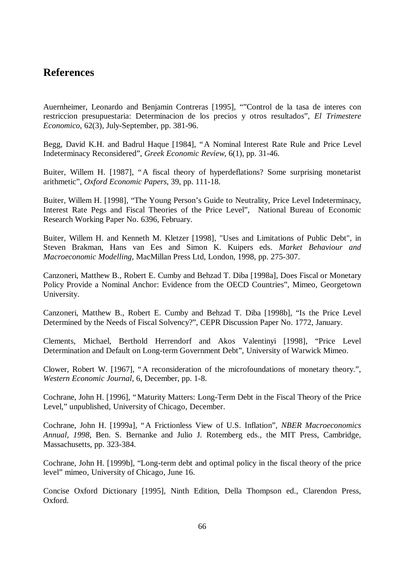# **References**

Auernheimer, Leonardo and Benjamin Contreras [1995], ""Control de la tasa de interes con restriccion presupuestaria: Determinacion de los precios y otros resultados", *El Trimestere Economico*, 62(3), July-September, pp. 381-96.

Begg, David K.H. and Badrul Haque [1984], "A Nominal Interest Rate Rule and Price Level Indeterminacy Reconsidered", *Greek Economic Review*, 6(1), pp. 31-46.

Buiter, Willem H. [1987], "A fiscal theory of hyperdeflations? Some surprising monetarist arithmetic", *Oxford Economic Papers*, 39, pp. 111-18.

Buiter, Willem H. [1998], "The Young Person's Guide to Neutrality, Price Level Indeterminacy, Interest Rate Pegs and Fiscal Theories of the Price Level", National Bureau of Economic Research Working Paper No. 6396, February.

Buiter, Willem H. and Kenneth M. Kletzer [1998], "Uses and Limitations of Public Debt", in Steven Brakman, Hans van Ees and Simon K. Kuipers eds. *Market Behaviour and Macroeconomic Modelling*, MacMillan Press Ltd, London, 1998, pp. 275-307.

Canzoneri, Matthew B., Robert E. Cumby and Behzad T. Diba [1998a], Does Fiscal or Monetary Policy Provide a Nominal Anchor: Evidence from the OECD Countries", Mimeo, Georgetown University.

Canzoneri, Matthew B., Robert E. Cumby and Behzad T. Diba [1998b], "Is the Price Level Determined by the Needs of Fiscal Solvency?", CEPR Discussion Paper No. 1772, January.

Clements, Michael, Berthold Herrendorf and Akos Valentinyi [1998], "Price Level Determination and Default on Long-term Government Debt", University of Warwick Mimeo.

Clower, Robert W. [1967], "A reconsideration of the microfoundations of monetary theory.", *Western Economic Journal*, 6, December, pp. 1-8.

Cochrane, John H. [1996], "Maturity Matters: Long-Term Debt in the Fiscal Theory of the Price Level," unpublished, University of Chicago, December.

Cochrane, John H. [1999a], "A Frictionless View of U.S. Inflation", *NBER Macroeconomics Annual, 1998,* Ben. S. Bernanke and Julio J. Rotemberg eds., the MIT Press, Cambridge, Massachusetts, pp. 323-384.

Cochrane, John H. [1999b], "Long-term debt and optimal policy in the fiscal theory of the price level" mimeo, University of Chicago, June 16.

Concise Oxford Dictionary [1995], Ninth Edition, Della Thompson ed., Clarendon Press, Oxford.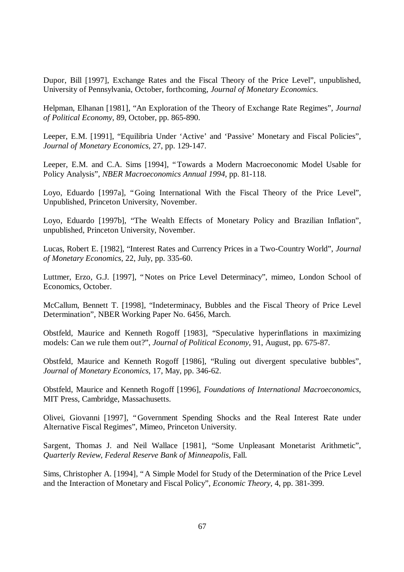Dupor, Bill [1997], Exchange Rates and the Fiscal Theory of the Price Level", unpublished, University of Pennsylvania, October, forthcoming, *Journal of Monetary Economics*.

Helpman, Elhanan [1981], "An Exploration of the Theory of Exchange Rate Regimes", *Journal of Political Economy*, 89, October, pp. 865-890.

Leeper, E.M. [1991], "Equilibria Under 'Active' and 'Passive' Monetary and Fiscal Policies", *Journal of Monetary Economics*, 27, pp. 129-147.

Leeper, E.M. and C.A. Sims [1994], "Towards a Modern Macroeconomic Model Usable for Policy Analysis", *NBER Macroeconomics Annual 1994*, pp. 81-118.

Loyo, Eduardo [1997a], "Going International With the Fiscal Theory of the Price Level", Unpublished, Princeton University, November.

Loyo, Eduardo [1997b], "The Wealth Effects of Monetary Policy and Brazilian Inflation", unpublished, Princeton University, November.

Lucas, Robert E. [1982], "Interest Rates and Currency Prices in a Two-Country World", *Journal of Monetary Economics*, 22, July, pp. 335-60.

Luttmer, Erzo, G.J. [1997], "Notes on Price Level Determinacy", mimeo, London School of Economics, October.

McCallum, Bennett T. [1998], "Indeterminacy, Bubbles and the Fiscal Theory of Price Level Determination", NBER Working Paper No. 6456, March.

Obstfeld, Maurice and Kenneth Rogoff [1983], "Speculative hyperinflations in maximizing models: Can we rule them out?", *Journal of Political Economy*, 91, August, pp. 675-87.

Obstfeld, Maurice and Kenneth Rogoff [1986], "Ruling out divergent speculative bubbles", *Journal of Monetary Economics*, 17, May, pp. 346-62.

Obstfeld, Maurice and Kenneth Rogoff [1996], *Foundations of International Macroeconomics*, MIT Press, Cambridge, Massachusetts.

Olivei, Giovanni [1997], "Government Spending Shocks and the Real Interest Rate under Alternative Fiscal Regimes", Mimeo, Princeton University.

Sargent, Thomas J. and Neil Wallace [1981], "Some Unpleasant Monetarist Arithmetic", *Quarterly Review, Federal Reserve Bank of Minneapolis*, Fall.

Sims, Christopher A. [1994], "A Simple Model for Study of the Determination of the Price Level and the Interaction of Monetary and Fiscal Policy", *Economic Theory*, 4, pp. 381-399.